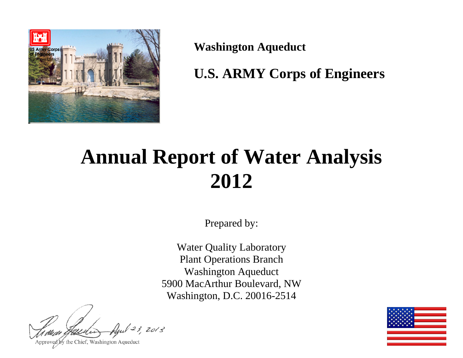

**Washington Aqueduct** 

**U.S. ARMY Corps of Engineers** 

# **Annual Report of Water Analysis 2012**

Prepared by:

Water Quality Laboratory Plant Operations Branch Washington Aqueduct 5900 MacArthur Boulevard, NW Washington, D.C. 20016-2514

123, 2013

Approved by the Chief, Washington Aqueduct

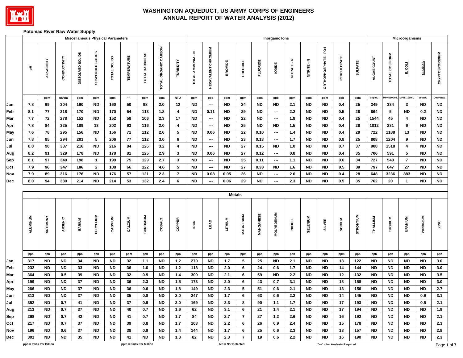

#### **Potomac River Raw Water Supply**

|            |            |                         |              |                  |                        | <b>Miscellaneous Physical Parameters</b> |                     |                         |                      |                         |                        |                            |                   |                 |                        | <b>Inorganic lons</b>    |               |                        |                      |                              |                |             |                   | Microorganisms          |                        |                        |
|------------|------------|-------------------------|--------------|------------------|------------------------|------------------------------------------|---------------------|-------------------------|----------------------|-------------------------|------------------------|----------------------------|-------------------|-----------------|------------------------|--------------------------|---------------|------------------------|----------------------|------------------------------|----------------|-------------|-------------------|-------------------------|------------------------|------------------------|
|            | 玉          | ALKALINITY              | CONDUCTIVITY | DISSOLVED SOLIDS | SUSPENDED SOLIDS       | TOTAL SOLIDS                             | <b>TEMPERATURE</b>  | TOTAL HARDNESS          | TOTAL ORGANIC CARBON | TURBIDITY               | TOTAL AMMONIA - N      | <b>HEXAVALENT CHROMIUM</b> | <b>BROMIDE</b>    | CHLORIDE        | <b>FLUORIDE</b>        | lopide                   | NITRATE-N     | NITRITE-N              | ORTHOPHOSPHATE - PO4 | PERCHLORATE                  | <b>SULFATE</b> | ALGAE COUNT | TOTAL COLIFORM    | $rac{1}{2}$             | GIARDIA                | <b>CRYPTOSPORIDIUM</b> |
|            |            | ppm                     | uS/cm        | ppm              | ppm                    | ppm                                      | $^\circ \mathsf{F}$ | ppm                     | ppm                  | <b>NTU</b>              | ppm                    | ppb                        | ppm               | ppm             | ppm                    | ppb                      | ppm           | ppm                    | ppm                  | ppb                          | ppm            | org/mL      | <b>MPN /100mL</b> | <b>MPN /100mL</b>       | cysts/L                | Oocysts/L              |
| Jan        | 7.8        | 69                      | 304          | 160              | <b>ND</b>              | 160                                      | 50                  | 98                      | 2.0                  | 12                      | <b>ND</b>              | $\hspace{0.05cm} \cdots$   | <b>ND</b>         | 24              | <b>ND</b>              | <b>ND</b>                | 2.1           | ND                     | <b>ND</b>            | 0.4                          | 25             | 349         | 334               | $\mathbf{3}$            | <b>ND</b>              | <b>ND</b>              |
| Feb        | 8.1        | 77                      | 318          | 170              | <b>ND</b>              | 170                                      | ${\bf 54}$          | 113                     | 1.8                  | $\overline{\mathbf{4}}$ | <b>ND</b>              | 0.11                       | <b>ND</b>         | 29              | <b>ND</b>              | $\sim$                   | 2.2           | ND                     | <b>ND</b>            | $0.5\,$                      | 28             | 864         | $5\phantom{.0}$   | <b>ND</b>               | $0.2\,$                | $\sf ND$               |
| <b>Mar</b> | 7.7        | 72                      | 278          | 152              | <b>ND</b>              | 152                                      | 58                  | 106                     | $2.3\,$              | 17                      | <b>ND</b>              | $\sim$                     | <b>ND</b>         | ${\bf 22}$      | <b>ND</b>              | $\hspace{0.05cm} \cdots$ | 1.8           | ND                     | <b>ND</b>            | 0.4                          | 25             | 1544        | 45                | $\overline{\mathbf{4}}$ | <b>ND</b>              | $\sf ND$               |
| Apr        | 7.8        | 84                      | 325          | 189              | 13                     | 202                                      | 63                  | 116                     | 2.0                  | $\overline{\mathbf{4}}$ | <b>ND</b>              | $\overline{\phantom{a}}$   | <b>ND</b>         | 25              | <b>ND</b>              | <b>ND</b>                | $1.5$         | ND                     | <b>ND</b>            | $0.4\,$                      | 28             | 1012        | 231               | 6                       | <b>ND</b>              | $\sf ND$               |
| May        | 7.6        | 78                      | 295          | 156              | <b>ND</b>              | 156                                      | $\bf 71$            | 112                     | 2.6                  | 5                       | <b>ND</b>              | 0.06                       | <b>ND</b>         | ${\bf 22}$      | 0.10                   | $\overline{\phantom{a}}$ | 1.4           | <b>ND</b>              | ${\sf ND}$           | 0.4                          | 29             | 722         | 1188              | 13                      | <b>ND</b>              | $\sf ND$               |
| Jun        | 7.8        | 85                      | 294          | 201              | 5                      | 206                                      | ${\bf 77}$          | 112                     | 3.0                  | 6                       | <b>ND</b>              | $\overline{\phantom{a}}$   | <b>ND</b>         | 23              | 0.13                   | $\overline{\phantom{a}}$ | $1.7$         | ND                     | ${\sf ND}$           | $0.8\,$                      | 25             | 808         | 1204              | 9                       | <b>ND</b>              | $\sf ND$               |
| Jul        | 8.0        | 90                      | 337          | 216              | <b>ND</b>              | 216                                      | 84                  | 126                     | $3.2$                | 4                       | <b>ND</b>              | $\overline{\phantom{a}}$   | <b>ND</b>         | ${\bf 27}$      | 0.15                   | <b>ND</b>                | 1.0           | <b>ND</b>              | ND                   | 0.7                          | 37             | 908         | 1518              | 4                       | <b>ND</b>              | $\sf ND$               |
| Aug        | 8.2        | 91                      | 329          | 178              | <b>ND</b>              | 178                                      | 81                  | 125                     | 2.9                  | $\mathbf{3}$            | <b>ND</b>              | 0.06                       | <b>ND</b>         | $\mathbf{27}$   | 0.12                   | $\overline{\phantom{a}}$ | 0.8           | <b>ND</b>              | <b>ND</b>            | 0.4                          | 35             | 706         | 591               | 5                       | <b>ND</b>              | $\sf ND$               |
| Sep        | 8.1        | 97                      | 340          | 198              | $\overline{1}$         | 199                                      | 75                  | 129                     | 2.7                  | $\mathbf{3}$            | <b>ND</b>              | ---                        | <b>ND</b>         | 25              | 0.11                   | $\overline{\phantom{a}}$ | $1.1$         | <b>ND</b>              | ${\sf ND}$           | 0.6                          | 34             | 727         | 540               | $\overline{7}$          | <b>ND</b>              | $\sf ND$               |
| Oct        | 7.9        | 96                      | 347          | 186              | $\overline{2}$         | 188                                      | 66                  | 122                     | 4.6                  | 5                       | <b>ND</b>              | $\overline{\phantom{a}}$   | <b>ND</b>         | ${\bf 27}$      | 0.33                   | <b>ND</b>                | 1.6           | <b>ND</b>              | <b>ND</b>            | 0.5                          | 39             | 797         | 847               | 27                      | <b>ND</b>              | ${\sf ND}$             |
| Nov<br>Dec | 7.9<br>8.0 | 89<br>94                | 316<br>380   | 176<br>214       | <b>ND</b><br><b>ND</b> | 176<br>214                               | 57<br>53            | 121<br>132              | 2.3<br>2.4           | $\overline{7}$<br>6     | <b>ND</b><br><b>ND</b> | 0.08                       | 0.05<br>0.06      | 26<br>29        | <b>ND</b><br><b>ND</b> | $\overline{\phantom{a}}$ | 2.6<br>2.3    | <b>ND</b><br><b>ND</b> | ND<br>ND             | 0.4<br>0.5                   | 28<br>35       | 648<br>762  | 3236<br>20        | 883<br>-1               | <b>ND</b><br><b>ND</b> | $\sf ND$<br>$\sf ND$   |
|            |            |                         |              |                  |                        |                                          |                     |                         |                      |                         |                        | ---                        |                   |                 |                        | ---                      |               |                        |                      |                              |                |             |                   |                         |                        |                        |
|            |            |                         |              |                  |                        |                                          |                     |                         |                      |                         |                        |                            |                   | <b>Metals</b>   |                        |                          |               |                        |                      |                              |                |             |                   |                         |                        |                        |
|            |            |                         |              |                  |                        |                                          |                     |                         |                      |                         |                        |                            |                   |                 |                        |                          |               |                        |                      |                              |                |             |                   |                         |                        |                        |
|            | ALUMINUM   | ANTIMONY                | ARSENIC      | <b>BARIUM</b>    | <b>BERYLLIUM</b>       | CADMIUM                                  | CALCIUM             | CHROMIUM                | <b>COBALT</b>        | COPPER                  | <b>IRON</b>            | LEAD                       | LITHIUM           | MAGNESIUM       | MANGANESE              | <b>MOLYBDENUM</b>        | <b>NICKEL</b> | <b>SELENIUM</b>        | <b>SILVER</b>        | <b>SODIUM</b>                | STRONTIUM      | THALLIUM    | THORIUM           | <b>URANIUM</b>          | <b>VANADIUM</b>        | ZINC                   |
|            | ppb        | ppb                     | ppb          | ppb              | ppb                    | ppb                                      | ppm                 | ppb                     | ppb                  | ppb                     | ppb                    | ppb                        | ppb               | ppm             | ppb                    | ppb                      | ppb           | ppb                    | ppb                  | ppm                          | ppb            | ppb         | ppb               | ppb                     | ppb                    | ppb                    |
| Jan        | 317        | <b>ND</b>               | <b>ND</b>    | 34               | <b>ND</b>              | <b>ND</b>                                | 32                  | $1.1$                   | <b>ND</b>            | $1.2$                   | 270                    | <b>ND</b>                  | 1.7               | $5\phantom{.0}$ | 25                     | <b>ND</b>                | 2.1           | <b>ND</b>              | ND                   | 13                           | 122            | <b>ND</b>   | <b>ND</b>         | <b>ND</b>               | <b>ND</b>              | $3.0\,$                |
| Feb        | 232        | <b>ND</b>               | <b>ND</b>    | 33               | <b>ND</b>              | <b>ND</b>                                | 36                  | 1.0                     | <b>ND</b>            | $1.2$                   | 118                    | <b>ND</b>                  | 2.0               | 6               | 24                     | 0.6                      | 1.7           | <b>ND</b>              | ND                   | 14                           | 144            | <b>ND</b>   | <b>ND</b>         | <b>ND</b>               | <b>ND</b>              | 3.0                    |
| <b>Mar</b> | 364        | <b>ND</b>               | 0.5          | 39               | <b>ND</b>              | <b>ND</b>                                | 32                  | 0.9                     | <b>ND</b>            | 1.4                     | 300                    | <b>ND</b>                  | 2.1               | 6               | 59                     | <b>ND</b>                | 2.2           | <b>ND</b>              | ND                   | 12                           | 132            | ND          | <b>ND</b>         | <b>ND</b>               | <b>ND</b>              | $3.5\,$                |
| Apr        | 199        | <b>ND</b>               | <b>ND</b>    | 37               | <b>ND</b>              | <b>ND</b>                                | 36                  | 2.3                     | <b>ND</b>            | 1.5                     | 173                    | <b>ND</b>                  | 2.0               | 6               | 43                     | 0.7                      | 3.1           | ND                     | <b>ND</b>            | 13                           | 158            | <b>ND</b>   | <b>ND</b>         | <b>ND</b>               | <b>ND</b>              | $3.0\,$                |
| May        | 266        | <b>ND</b>               | ${\sf ND}$   | 37               | <b>ND</b>              | ${\sf ND}$                               | 36                  | 0.6                     | <b>ND</b>            | 1.8                     | 149                    | <b>ND</b>                  | 2.3               | ${\bf 5}$       | 51                     | 0.6                      | 2.1           | <b>ND</b>              | ${\sf ND}$           | 13                           | 156            | <b>ND</b>   | <b>ND</b>         | $\sf ND$                | <b>ND</b>              | $2.7\,$                |
| Jun        | 313        | <b>ND</b>               | <b>ND</b>    | 37               | <b>ND</b>              | ND                                       | 35                  | 0.8                     | <b>ND</b>            | 2.0                     | 247                    | <b>ND</b>                  | 1.7               | $\bf 6$         | 63                     | 0.6                      | $2.2\,$       | <b>ND</b>              | <b>ND</b>            | 14                           | 145            | $\sf ND$    | <b>ND</b>         | <b>ND</b>               | $0.9\,$                | 3.1                    |
| Jul        | 352        | ND                      | 0.7          | 41               | ND                     | ND.                                      | 37                  | 0.9                     | <b>ND</b>            | 2.0                     | 169                    | <b>ND</b>                  | 3.3               | 8               | 90                     | 1.1                      | 1.7           | <b>ND</b>              | ND                   | 17                           | 193            | ND.         | ND                | ND                      | 0.5                    | 2.1                    |
| Aug        | 213        | ND.                     | 0.7          | 37               | ND.                    | ND.                                      | 40                  | 0.7                     | ND                   | 1.6                     | 62                     | ND                         | 3.1               | 6               | 21                     | 1.4                      | 2.1           | ND.                    | ND                   | 17                           | 194            | ND.         | ND                | ND                      | ND.                    | 1.9                    |
| Sep<br>Oct | 268<br>217 | ND.<br>ND.              | 0.7<br>0.7   | 42<br>37         | ND<br>ND               | <b>ND</b><br>ND.                         | 41<br>39            | 0.7<br>0.8              | ND<br><b>ND</b>      | 1.7<br>1.7              | 84<br>103              | ND<br>ND                   | 2.7<br>2.2        | 7<br>6          | 27<br>26               | 1.2<br>0.9               | 2.6<br>2.4    | <b>ND</b><br><b>ND</b> | ND<br>ND.            | 16<br>15                     | 192<br>178     | ND.<br>ND.  | ND<br>ND.         | ND<br>ND                | ND<br>ND.              | 2.1<br>2.3             |
| Nov        | 196        | ND.                     | 0.6          | 37               | ND                     | <b>ND</b>                                | 38                  | 0.9                     | <b>ND</b>            | 1.4                     | 144                    | <b>ND</b>                  | 1.7               | 6               | 25                     | 0.6                      | 2.3           | <b>ND</b>              | ND.                  | 13                           | 157            | ND.         | ND                | ND.                     | ND.                    | 2.8                    |
| Dec        | 301        | ND.                     | ND           | 35               | ND                     | ND.                                      | 41                  | <b>ND</b>               | <b>ND</b>            | 1.3                     | 82                     | <b>ND</b>                  | 2.3               | $\overline{7}$  | 19                     | 0.6                      | 2.2           | ND.                    | ND.                  | 16                           | 190            | ND.         | ND                | ND                      | ND                     | 2.3                    |
|            |            | ppb = Parts Per Billion |              |                  |                        |                                          |                     | ppm = Parts Per Million |                      |                         |                        |                            | ND = Not Detected |                 |                        |                          |               |                        |                      | "---" = No Analysis Required |                |             |                   |                         |                        | Page 1                 |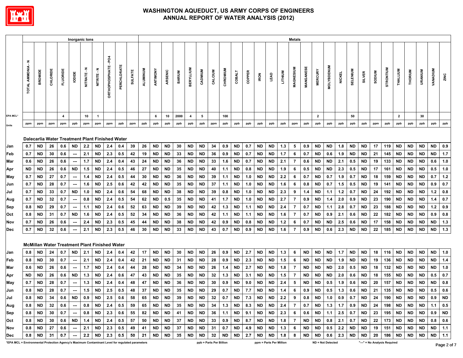

|                                                                                                 |                                           | Inorganic lons |                 |                |                          |           |                                                      |                      |             |                |          |                   |           |               |                         |           | Metals                  |          |           |        |             |                                                                           |         |                |           |                          |                   |               |           |                                          |               |                  |                |           |                    |                                                                                                                                                                               |             |
|-------------------------------------------------------------------------------------------------|-------------------------------------------|----------------|-----------------|----------------|--------------------------|-----------|------------------------------------------------------|----------------------|-------------|----------------|----------|-------------------|-----------|---------------|-------------------------|-----------|-------------------------|----------|-----------|--------|-------------|---------------------------------------------------------------------------|---------|----------------|-----------|--------------------------|-------------------|---------------|-----------|------------------------------------------|---------------|------------------|----------------|-----------|--------------------|-------------------------------------------------------------------------------------------------------------------------------------------------------------------------------|-------------|
|                                                                                                 | $\ddot{\tilde{}}$<br><b>TOTAL AMMONIA</b> | <b>BROMIDE</b> | CHLORIDE        | FLUORID        | lopide                   | NITRATE-N | NITRITE-N                                            | ORTHOPHOSPHATE - PO4 | PERCHLORATE | <b>SULFATE</b> | ALUMINUM | ANTIMONY          | ARSENIC   | <b>BARIUM</b> | <b>BERYLLIUM</b>        | CADMIUM   | CALCIUM                 | CHROMIUM | COBALT    | COPPER | <b>IRON</b> | LEAD                                                                      | LITHIUM | MAGNESIUM      | MANGANESE | <b>MERCURY</b>           | <b>MOLYBDENUM</b> | <b>NICKEL</b> | SELENIUM  | <b>SILVER</b>                            | <b>SODIUM</b> | <b>STRONTIUM</b> | THALLIUM       | THORIUM   | URANIUM            | <b>VANADIUM</b>                                                                                                                                                               | ZINC        |
| <b>EPA MCL'</b>                                                                                 |                                           |                |                 | $\overline{4}$ |                          | 10        | $\overline{1}$                                       |                      |             |                |          | 6                 | 10        | 2000          | $\overline{\mathbf{4}}$ | 5         |                         | 100      |           |        |             |                                                                           |         |                |           | $\overline{2}$           |                   |               | 50        |                                          |               |                  | $\overline{2}$ |           | 30                 |                                                                                                                                                                               |             |
| <b>Units</b>                                                                                    | ppm                                       | ppm            | ppm             | ppm            | ppb                      | ppm       | ppm                                                  | ppm                  | ppb         | ppm            | ppb      | ppb               | ppb       | ppb           | ppb                     | ppb       | ppm                     | ppb      | ppb       | ppb    | ppb         | ppb                                                                       | ppb     | ppm            | ppb       | ppb                      | ppb               | ppb           | ppb       | ppb                                      | ppm           | ppb              | ppb            | ppb       | ppb                | ppb                                                                                                                                                                           | ppb         |
|                                                                                                 |                                           |                |                 |                |                          |           |                                                      |                      |             |                |          |                   |           |               |                         |           |                         |          |           |        |             |                                                                           |         |                |           |                          |                   |               |           |                                          |               |                  |                |           |                    |                                                                                                                                                                               |             |
|                                                                                                 |                                           |                |                 |                |                          |           | Dalecarlia Water Treatment Plant Finished Water      |                      |             |                |          |                   |           |               |                         |           |                         |          |           |        |             |                                                                           |         |                |           |                          |                   |               |           |                                          |               |                  |                |           |                    |                                                                                                                                                                               |             |
| Jan                                                                                             | 0.7                                       | ND.            | 26              | 0.6            | <b>ND</b>                | 2.2       | ND                                                   | 2.4                  | 0.4         | 39             | 26       | <b>ND</b>         | <b>ND</b> | 30            | <b>ND</b>               | <b>ND</b> | 34                      | 0.9      | <b>ND</b> | 0.7    | <b>ND</b>   | <b>ND</b>                                                                 | 1.3     | 5              | 0.9       | <b>ND</b>                | <b>ND</b>         | 1.8           | <b>ND</b> | <b>ND</b>                                | 17            | 119              | <b>ND</b>      | <b>ND</b> | <b>ND</b>          | <b>ND</b>                                                                                                                                                                     | 0.9         |
| Feb                                                                                             | 0.7                                       | <b>ND</b>      | 30              | 0.6            |                          | 2.1       | ND                                                   | 2.3                  | 0.5         | 42             | 19       | ND                | <b>ND</b> | 33            | <b>ND</b>               | <b>ND</b> | 36                      | 0.9      | <b>ND</b> | 0.7    | ND          | ND                                                                        | 1.7     | 6              | 0.7       | <b>ND</b>                | 0.6               | 1.9           | <b>ND</b> | <b>ND</b>                                | 21            | 145              | ND             | ND        | ND                 | ND                                                                                                                                                                            | 1.7         |
| Mar                                                                                             | 0.6                                       | ND             | 26              | 0.6            | $\overline{\phantom{a}}$ | 1.7       | <b>ND</b>                                            | 2.4                  | 0.4         | 43             | 24       | ND .              | ND        | 36            | ND                      | ND        | 33                      | 1.6      | <b>ND</b> | 0.7    | ND          | ND                                                                        | 2.1     | 7              | 0.6       | <b>ND</b>                | <b>ND</b>         | 2.1           | 0.5       | <b>ND</b>                                | 19            | 133              | ND             | ND        | ND                 | 0.6                                                                                                                                                                           | 1.0         |
| Apr                                                                                             | ND                                        | ND             | 26              | 0.6            | <b>ND</b>                | 1.5       | <b>ND</b>                                            | 2.4                  | 0.5         | 46             | 27       | <b>ND</b>         | ND        | 35            | <b>ND</b>               | ND        | 40                      | $1.1$    | <b>ND</b> | 0.8    | ND          | ND                                                                        | 1.9     | 6              | 0.5       | ND                       | <b>ND</b>         | 2.3           | 0.5       | <b>ND</b>                                | 17            | 161              | ND             | ND        | ND                 | 0.5                                                                                                                                                                           | 1.0         |
| May                                                                                             | 0.7                                       | ND             | 27              | 0.7            | $\overline{\phantom{a}}$ | 1.4       | <b>ND</b>                                            | 2.4                  | 0.5         | 44             | 30       | <b>ND</b>         | ND        | 36            | <b>ND</b>               | ND        | 39                      | 1.1      | <b>ND</b> | 1.0    | ND          | ND                                                                        | 2.2     | 6              | 0.7       | ND                       | 0.7               | 1.9           | 0.7       | <b>ND</b>                                | 18            | 159              | ND             | ND        | ND                 | 0.7                                                                                                                                                                           | 1.2         |
| Jun                                                                                             | 0.7                                       | ND             | 28              | 0.7            | $\hspace{0.05cm} \cdots$ | 1.6       | <b>ND</b>                                            | 2.5                  | 0.6         | 42             | 42       | <b>ND</b>         | <b>ND</b> | 35            | <b>ND</b>               | ND        | 37                      | 1.1      | <b>ND</b> | 1.0    | ND          | <b>ND</b>                                                                 | 1.6     | 6              | 0.8       | <b>ND</b>                | 0.7               | 1.5           | 0.5       | <b>ND</b>                                | 19            | 141              | ND             | <b>ND</b> | <b>ND</b>          | 0.9                                                                                                                                                                           | 0.7         |
| Jul                                                                                             | 0.7                                       | ND             | 33              | 0.7            | <b>ND</b>                | 1.0       | <b>ND</b>                                            | 2.4                  | 0.6         | 54             | 68       | ND                | ND        | 38            | <b>ND</b>               | ND        | 39                      | 0.8      | <b>ND</b> | 1.0    | ND          | ND                                                                        | 2.3     | 9              | 1.4       | <b>ND</b>                | 1.1               | $1.2$         | 0.7       | <b>ND</b>                                | 24            | 192              | ND             | ND        | <b>ND</b>          | 1.2                                                                                                                                                                           | 0.8         |
| Aug                                                                                             | 0.7                                       | <b>ND</b>      | 32              | 0.7            |                          | 0.8       | <b>ND</b>                                            | 2.4                  | 0.5         | 54             | 62       | ND .              | 0.5       | 35            | ND                      | ND        | 41                      | 1.7      | <b>ND</b> | 1.0    | ND          | ND.                                                                       | 2.7     | 7              | 0.9       | <b>ND</b>                | 1.4               | 2.0           | 0.9       | <b>ND</b>                                | 23            | 190              | ND             | ND        | ND                 | 1.4                                                                                                                                                                           | 0.7         |
| Sep                                                                                             | 0.8                                       | ND             | 29              | 0.7            | $\overline{\phantom{a}}$ | 1.1       | <b>ND</b>                                            | 2.4                  | 0.6         | 52             | 63       | <b>ND</b>         | <b>ND</b> | 39            | <b>ND</b>               | ND        | 42                      | 1.3      | <b>ND</b> | 1.1    | ND          | <b>ND</b>                                                                 | 2.4     | 7              | 0.7       | <b>ND</b>                | 1.1               | 2.8           | 0.7       | <b>ND</b>                                | 23            | 188              | ND             | ND        | ND                 | 1.2                                                                                                                                                                           | 0.9         |
| Oct                                                                                             | 0.8                                       | ND             | 31              | 0.7            | <b>ND</b>                | 1.6       | <b>ND</b>                                            | 2.4                  | 0.5         | 52             | 34       | ND .              | ND        | 36            | <b>ND</b>               | ND        | 42                      | 1.1      | <b>ND</b> | 1.1    | ND          | ND.                                                                       | 1.6     | 7              | 0.7       | <b>ND</b>                | 0.9               | 2.1           | 0.6       | <b>ND</b>                                | 22            | 182              | ND             | ND        | <b>ND</b>          | 0.9                                                                                                                                                                           | 0.8         |
| Nov                                                                                             | 0.7                                       | ND             | 26              | 0.6            | $\overline{\phantom{a}}$ | 2.4       | ND                                                   | 2.3                  | 0.5         | 45             | 44       | ND                | ND        | 38            | ND                      | ND        | 42                      | 0.9      | <b>ND</b> | 0.8    | ND          | ND                                                                        | $1.2$   | 6              | 0.7       | ND                       | ND                | 2.5           | 0.6       | ND                                       | 17            | 158              | ND             | <b>ND</b> | ND                 | ND                                                                                                                                                                            | 1.3         |
| <b>Dec</b>                                                                                      | 0.7                                       | <b>ND</b>      | 32              | 0.6            | $\overline{\phantom{a}}$ | 2.1       | <b>ND</b>                                            | 2.3                  | 0.5         | 46             | 30       | <b>ND</b>         | <b>ND</b> | 33            | <b>ND</b>               | <b>ND</b> | 43                      | 0.7      | <b>ND</b> | 0.9    | <b>ND</b>   | <b>ND</b>                                                                 | 1.6     | $\overline{7}$ | 0.9       | <b>ND</b>                | 0.6               | 2.3           | <b>ND</b> | <b>ND</b>                                | 22            | 185              | <b>ND</b>      | <b>ND</b> | <b>ND</b>          | <b>ND</b>                                                                                                                                                                     | 1.3         |
|                                                                                                 |                                           |                |                 |                |                          |           | <b>McMillan Water Treatment Plant Finished Water</b> |                      |             |                |          |                   |           |               |                         |           |                         |          |           |        |             |                                                                           |         |                |           |                          |                   |               |           |                                          |               |                  |                |           |                    |                                                                                                                                                                               |             |
| Jan                                                                                             | 0.8                                       | ND             | 24              | 0.7            | ND                       | 2.1       | ND                                                   | 2.4                  | 0.4         | 42             | 17       | <b>ND</b>         | ND        | 30            | <b>ND</b>               | ND        | 26                      | 0.9      | <b>ND</b> | 2.7    | ND          | ND                                                                        | 1.3     | 6              | ND        | ND                       | ND                | 1.7           | <b>ND</b> | <b>ND</b>                                | 18            | 116              | ND             | ND        | <b>ND</b>          | <b>ND</b>                                                                                                                                                                     | 1.0         |
| Feb                                                                                             | 0.8                                       | ND.            | 30              | 0.7            | ---                      | 2.1       | <b>ND</b>                                            | 2.4                  | 0.4         | 42             | 21       | ND                | ND        | 31            | <b>ND</b>               | ND        | 28                      | 0.9      | <b>ND</b> | 2.3    | ND          | ND                                                                        | 1.5     | 6              | ND        | <b>ND</b>                | <b>ND</b>         | 1.9           | <b>ND</b> | <b>ND</b>                                | 19            | 136              | ND             | ND.       | ND                 | ND                                                                                                                                                                            | 1.4         |
| Mar                                                                                             | 0.6                                       | ND             | 26              | 0.6            |                          | 1.7       | <b>ND</b>                                            | 2.4                  | 0.4         | 44             | 28       | <b>ND</b>         | ND        | 34            | ND                      | ND        | 26                      | 1.4      | <b>ND</b> | 2.7    | ND          | ND                                                                        | 1.8     | 7              | <b>ND</b> | ND                       | <b>ND</b>         | 2.0           | 0.5       | <b>ND</b>                                | 18            | 132              | ND             | ND        | ND                 | <b>ND</b>                                                                                                                                                                     | 1.0         |
| Apr                                                                                             | <b>ND</b>                                 | ND             | 26              | 0.6            | <b>ND</b>                | 1.3       | <b>ND</b>                                            | 2.4                  | 0.6         | 47             | 43       | ND                | ND        | -35           | <b>ND</b>               | ND        | 32                      | $1.3$    | <b>ND</b> | 3.1    | ND          | ND                                                                        | 1.5     | 7              | <b>ND</b> | ND                       | <b>ND</b>         | 2.0           | 0.6       | <b>ND</b>                                | 18            | 155              | ND             | ND        | ND                 | 0.5                                                                                                                                                                           | 0.7         |
| May                                                                                             | 0.7                                       | ND.            | 28              | 0.7            | $\sim$                   | 1.3       | <b>ND</b>                                            | 2.4                  | 0.4         | 48             | 47       | <b>ND</b>         | <b>ND</b> | 36            | <b>ND</b>               | ND        | 30                      | 0.9      | <b>ND</b> | 9.0    | ND          | ND                                                                        | 2.4     | 5              | <b>ND</b> | <b>ND</b>                | 0.5               | 1.9           | 0.6       | <b>ND</b>                                | 20            | 157              | ND             | ND.       | <b>ND</b>          | <b>ND</b>                                                                                                                                                                     | 0.8         |
| Jun                                                                                             | 0.8                                       | ND             | 28              | 0.7            | $\overline{\phantom{a}}$ | 1.5       | <b>ND</b>                                            | 2.5                  | 0.5         | 48             | 37       | <b>ND</b>         | <b>ND</b> | 35            | <b>ND</b>               | <b>ND</b> | 29                      | 0.7      | <b>ND</b> | 7.7    | <b>ND</b>   | <b>ND</b>                                                                 | 1.4     | 6              | 0.9       | <b>ND</b>                | 0.5               | $1.3$         | 0.6       | <b>ND</b>                                | 21            | 135              | ND             | ND        | ND                 | 0.5                                                                                                                                                                           | 0.6         |
| Jul                                                                                             | $0.8$ ND                                  |                | 34              |                |                          |           | $0.6$ ND 0.9 ND 2.5 0.6                              |                      |             |                |          | 58 65 ND ND 39    |           |               | ND ND                   |           | 32                      |          |           |        |             | 0.7   ND   7.3   ND   ND   2.2   9   0.8   ND   1.0   0.9   0.7   ND   24 |         |                |           |                          |                   |               |           |                                          |               |                  |                |           |                    | 190   ND   ND   ND   0.9   ND                                                                                                                                                 |             |
| Aug                                                                                             |                                           |                | $0.8$ ND 32     | 0.6            |                          |           | $-$ 0.8 ND 2.4 0.5                                   |                      |             | 59             |          | 65   ND   ND   35 |           |               | ND ND                   |           |                         |          |           |        |             | 34   1.3   ND   8.3   ND   ND   2.4                                       |         |                |           |                          |                   |               |           | 7   0.7   ND   1.3   1.7   0.9   ND   24 |               |                  |                |           |                    | 198   ND   ND   ND   1.1   0.5                                                                                                                                                |             |
| Sep                                                                                             |                                           |                | $0.8$ ND 30 0.7 |                |                          |           |                                                      |                      |             |                |          |                   |           |               |                         |           |                         |          |           |        |             |                                                                           |         |                |           |                          |                   |               |           |                                          |               |                  |                |           |                    | --   0.8   ND   2.3   0.6   55   82   ND   ND   41   ND   ND   36   1.1   ND   9.1   ND   ND   2.3   6   0.6   ND   1.1   2.5   0.7   ND   23   195   ND   ND   ND   0.9   ND |             |
| Oct                                                                                             |                                           | 0.8 ND         | 30              |                |                          |           | $0.6$ ND 1.4 ND 2.4 0.5                              |                      |             | 57             |          | 50   ND   ND   37 |           |               |                         |           |                         |          |           |        |             | ND   ND   33   0.9   ND   8.7   ND   ND   1.8                             |         |                |           | 7   ND   ND   0.8   2.1  |                   |               |           | 0.7 ND                                   | 22            |                  |                |           |                    | 173   ND   ND   ND   0.8   0.6                                                                                                                                                |             |
| Nov                                                                                             |                                           | 0.8 ND         | 27              | 0.6            | $\sim$                   |           | 2.1   ND   2.3   0.5                                 |                      |             | 49             | 41       |                   | ND ND 37  |               |                         |           |                         |          |           |        |             | ND   ND   31   0.7   ND   4.9   ND   ND   1.3                             |         | 6              | ND        | $ND$ 0.5 2.2             |                   |               |           | ND   ND   19                             |               |                  |                |           |                    | 151   ND   ND   ND   ND   1.1                                                                                                                                                 |             |
| Dec                                                                                             |                                           | $0.8$ ND       | - 31            | 0.7            | $\sim$                   |           | $2.2$ ND $2.3$ 0.5                                   |                      |             | 50             | 21 I     |                   | ND   ND   | 35            |                         |           | ND   ND   32   ND       |          | <b>ND</b> | 2.7    | ND          |                                                                           | ND 1.8  | 8              | <b>ND</b> | ND                       | 0.6               | 2.3           | <b>ND</b> | ND                                       | 20            |                  |                |           | 186   ND   ND   ND | ND   1.1                                                                                                                                                                      |             |
| *EPA MCL = Environmental Protection Agency's Maximum Contaminant Level for regulated parameters |                                           |                |                 |                |                          |           |                                                      |                      |             |                |          |                   |           |               |                         |           | ppb = Parts Per Billion |          |           |        |             | ppm = Parts Per Million                                                   |         |                |           | <b>ND = Not Detected</b> |                   |               |           | "---" = No Analysis Required             |               |                  |                |           |                    |                                                                                                                                                                               | Page 2 of 7 |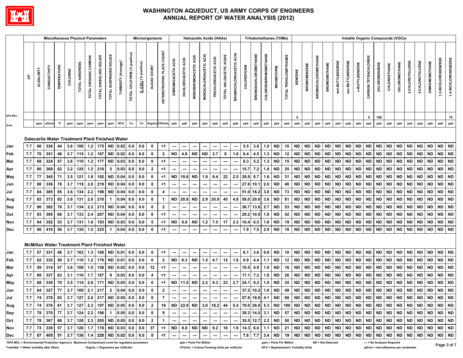

|                                                                                                 |     |                   |               |                     |          | <b>Miscellaneous Physical Parameters</b>        |                      |                                   |                        |                      |                                |                              | Microorganisms |                                  |                              |                               | <b>Haloacetic Acids (HAAs)</b> |                       |                          |                          |                                              |                                       |                             |                             | <b>Trihalomethanes (THMs)</b> |                         |                                     |                     |                           |                                  |                   | <b>Volatile Organic Compounds (VOCs)</b> |                |                      |               |                                     |               |                 |                 |                       |                                  |                     |
|-------------------------------------------------------------------------------------------------|-----|-------------------|---------------|---------------------|----------|-------------------------------------------------|----------------------|-----------------------------------|------------------------|----------------------|--------------------------------|------------------------------|----------------|----------------------------------|------------------------------|-------------------------------|--------------------------------|-----------------------|--------------------------|--------------------------|----------------------------------------------|---------------------------------------|-----------------------------|-----------------------------|-------------------------------|-------------------------|-------------------------------------|---------------------|---------------------------|----------------------------------|-------------------|------------------------------------------|----------------|----------------------|---------------|-------------------------------------|---------------|-----------------|-----------------|-----------------------|----------------------------------|---------------------|
|                                                                                                 | 玉   | <b>ALKALINITY</b> | CONDUCTIVITY  | <b>TEMPERATURE</b>  | CHLORINE | TOTAL HARDNESS                                  | TOTAL ORGANIC CARBON | TOTAL DISSOLVED SOLIDS            | TOTAL SUSPENDED SOLIDS | "TURBIDITY (Average) | positive)<br>TOTAL COLIFORM (% | E. COLI (% positive)         | ALGAE COUNT    | <b>HETEROTROPHIC PLATE COUNT</b> | ACID<br><b>DIBROMOACETIC</b> | ACID<br><b>DICHLOROACETIC</b> | MONOBROMOACETIC ACID           | MONOCHLOROACETIC ACID | TRICHLOROACETIC ACID     | TOTAL HALOACETIC ACIDS   | <b>ACID</b><br>BROMOCHLOROACETIC             | <b>CHLOROFORM</b>                     | <b>BROMODICHLOROMETHANE</b> | <b>CHLORODIBROMOMETHANE</b> | <b>BROMOFORM</b>              | TOTAL TRIHALOMETHANES   | <b>BENZENE</b>                      | <b>BROMOBENZENE</b> | <b>BROMOCHLOROMETHANE</b> | <b>BROMOMETHANE</b>              | tert-BUTYLBENZENE | sec-BUTYLBENZENE                         | n-BUTYLBENZENE | CARBON TETRACHLORIDE | CHLOROBENZENE | CHLOROETHANE                        | CHLOROMETHANE | 2-CHLOROTOLUENE | 4-CHLOROTOLUENE | <b>DIBROMOMETHANE</b> | 1,3-DICHLOROBENZENE              | 1,4-DICHLOROBENZENE |
| EPA MCL*                                                                                        |     |                   |               |                     |          |                                                 |                      |                                   |                        |                      |                                |                              |                |                                  |                              |                               |                                |                       |                          |                          |                                              |                                       |                             |                             |                               |                         | 5                                   |                     |                           |                                  |                   |                                          |                | 5                    | 100           |                                     |               |                 |                 |                       |                                  | 75                  |
| Units                                                                                           |     | ppm               | uS/cm         | $^\circ \mathsf{F}$ | ppm      | ppm                                             | ppm                  | ppm                               | ppm                    | <b>NTU</b>           | $% +$                          | $% +$                        | Org/mLCFU/mL   |                                  | ppb                          | ppb                           | ppb                            | ppb                   | ppb                      | ppb                      | ppb                                          | ppb                                   | ppb                         | ppb                         | ppb                           | ppb                     | ppb                                 | ppb                 | ppb                       | ppb                              | ppb               | ppb                                      | ppb            | ppb                  | ppb           | ppb                                 | ppb           | ppb             | ppb             | ppb                   | ppb                              | ppb                 |
|                                                                                                 |     |                   |               |                     |          |                                                 |                      |                                   |                        |                      |                                |                              |                |                                  |                              |                               |                                |                       |                          |                          |                                              |                                       |                             |                             |                               |                         |                                     |                     |                           |                                  |                   |                                          |                |                      |               |                                     |               |                 |                 |                       |                                  |                     |
|                                                                                                 |     |                   |               |                     |          | Dalecarlia Water Treatment Plant Finished Water |                      |                                   |                        |                      |                                |                              |                |                                  |                              |                               |                                |                       |                          |                          |                                              |                                       |                             |                             |                               |                         |                                     |                     |                           |                                  |                   |                                          |                |                      |               |                                     |               |                 |                 |                       |                                  |                     |
| Jan                                                                                             | 7.7 | 66                | 336           | 44                  | 3.8      | 106                                             |                      | $1.2$ 175                         | ND                     | 0.02                 | 0.0                            | 0.0                          | 0              | <1                               | ---                          | ---                           | ---                            | ---                   | ---                      | $\hspace{0.05cm} \cdots$ | ---                                          | 5.5                                   | 3.8                         | 1.0                         | ND                            | 10                      | <b>ND</b>                           | <b>ND</b>           | <b>ND</b>                 | <b>ND</b>                        | <b>ND</b>         | <b>ND</b>                                | <b>ND</b>      | <b>ND</b>            | <b>ND</b>     | <b>ND</b>                           | <b>ND</b>     | <b>ND</b>       | <b>ND</b>       | <b>ND</b>             | <b>ND</b>                        | <b>ND</b>           |
| Feb                                                                                             | 7.7 | 70                | 351           | 48                  | 3.7      | 115                                             | 1.2                  | 187                               | <b>ND</b>              | 0.02                 | 0.0                            | 0.0                          | 0              | $\mathbf{2}$                     | <b>ND</b>                    | 4.8                           | <b>ND</b>                      | <b>ND</b>             | 3.7                      | 8                        | 1.6                                          | 6.4                                   | 4.5                         | 1.3                         | <b>ND</b>                     | 12                      | <b>ND</b>                           | <b>ND</b>           | <b>ND</b>                 | <b>ND</b>                        | <b>ND</b>         | <b>ND</b>                                | <b>ND</b>      | <b>ND</b>            | <b>ND</b>     | <b>ND</b>                           | <b>ND</b>     | <b>ND</b>       | <b>ND</b>       | <b>ND</b>             | <b>ND</b>                        | <b>ND</b>           |
| Mar                                                                                             | 7.7 | 68                | 324           | 57                  | 3.6      | 110                                             | 1.2                  | 177                               | ND                     | 0.03                 | 0.0                            | 0.0                          | 0              | <1                               | ---                          | ---                           | ---                            | ---                   | ---                      | $\hspace{0.05cm} \cdots$ | ---                                          | 8.3                                   | 5.2                         | 1.3                         | ND                            | 15                      | ND                                  | <b>ND</b>           | <b>ND</b>                 | <b>ND</b>                        | <b>ND</b>         | <b>ND</b>                                | <b>ND</b>      | <b>ND</b>            | <b>ND</b>     | <b>ND</b>                           | <b>ND</b>     | <b>ND</b>       | <b>ND</b>       | <b>ND</b>             | <b>ND</b>                        | <b>ND</b>           |
| Apr                                                                                             | 7.7 | 80                | 369           | 62                  | 3.2      | 125                                             |                      | $1.2$ 210                         | 5                      | 0.03                 | 0.0                            | 0.0                          | $\overline{2}$ | $<$ 1                            |                              | ---                           |                                | ---                   | ---                      | ---                      | ---                                          | 15.7                                  | 7.2                         | 1.8                         | <b>ND</b>                     | 25                      | <b>ND</b>                           | <b>ND</b>           | <b>ND</b>                 | <b>ND</b>                        | <b>ND</b>         | <b>ND</b>                                | <b>ND</b>      | <b>ND</b>            | <b>ND</b>     | <b>ND</b>                           | <b>ND</b>     | <b>ND</b>       | <b>ND</b>       | <b>ND</b>             | <b>ND</b>                        | <b>ND</b>           |
| May                                                                                             | 7.7 | 77                | 345           | 71                  | 3.5      | 121                                             | 1.8                  | 192                               | <b>ND</b>              | 0.04                 | 0.0                            | 0.0                          | $\mathbf 0$    | <1                               | <b>ND</b>                    | 10.6                          | <b>ND</b>                      | 1.9                   | 9.4                      | 22                       | 2.5                                          | 20.9 8.7                              |                             | 1.6                         | ND                            | 31                      | <b>ND</b>                           | <b>ND</b>           | <b>ND</b>                 | <b>ND</b>                        | <b>ND</b>         | <b>ND</b>                                | <b>ND</b>      | <b>ND</b>            | <b>ND</b>     | <b>ND</b>                           | <b>ND</b>     | <b>ND</b>       | <b>ND</b>       | <b>ND</b>             | $\sf ND$                         | <b>ND</b>           |
| Jun                                                                                             | 7.7 | 80                | 336           | 78                  | 3.7      | 119                                             | 2.0                  | 219                               | ND                     | 0.04                 | 0.0                            | 0.0                          | $\mathbf 0$    | <1                               |                              | ---                           | ---                            | ---                   | $\hspace{0.05cm} \cdots$ | $\hspace{0.05cm} \cdots$ | ---                                          |                                       | 27.8 10.1                   | 2.0                         | ND                            | 40                      | <b>ND</b>                           | <b>ND</b>           | <b>ND</b>                 | <b>ND</b>                        | <b>ND</b>         | <b>ND</b>                                | <b>ND</b>      | <b>ND</b>            | <b>ND</b>     | <b>ND</b>                           | <b>ND</b>     | <b>ND</b>       | <b>ND</b>       | <b>ND</b>             | <b>ND</b>                        | <b>ND</b>           |
| Jul                                                                                             | 7.7 | 84                | 385           | 85                  | 3.6      | 134                                             | 2.2                  | 198                               | <b>ND</b>              | 0.04                 | 0.0                            | 0.0                          | $\mathbf 0$    | 4                                |                              |                               |                                |                       |                          | ---                      | ---                                          |                                       | 51.0 18.2                   | 3.8                         | ND                            | 73                      | <b>ND</b>                           | <b>ND</b>           | <b>ND</b>                 | <b>ND</b>                        | <b>ND</b>         | <b>ND</b>                                | <b>ND</b>      | <b>ND</b>            | <b>ND</b>     | <b>ND</b>                           | <b>ND</b>     | <b>ND</b>       | <b>ND</b>       | <b>ND</b>             | <b>ND</b>                        | <b>ND</b>           |
| Aug                                                                                             | 7.7 | 82                | 373           | 82                  | 3.6      | 131                                             | 2.0                  | 210                               | $\mathbf{1}$           | 0.04                 | 0.0                            | 0.0                          | $\mathbf 0$    | $\mathbf{1}$                     |                              | ND 20.8                       | <b>ND</b>                      |                       | $2.9$ 20.9               | 45                       | 4.8                                          |                                       | 58.0 20.0                   | 3.6                         | ND                            | 81                      | <b>ND</b>                           | <b>ND</b>           | <b>ND</b>                 | <b>ND</b>                        | <b>ND</b>         | ND                                       | <b>ND</b>      | <b>ND</b>            | <b>ND</b>     | <b>ND</b>                           | <b>ND</b>     | <b>ND</b>       | <b>ND</b>       | <b>ND</b>             | <b>ND</b>                        | <b>ND</b>           |
| Sep                                                                                             | 7.7 | 90                | 382           | 76                  | 3.7      | 134                                             | 2.2                  | 213                               | ND                     | 0.04                 | 0.0                            | 0.0                          | 0              | $\mathbf{2}$                     |                              | ---                           | ---                            | ---                   | $\hspace{0.05cm} \cdots$ | $\overline{\phantom{a}}$ |                                              |                                       | 36.7 13.6                   | 2.7                         | ND                            | 53                      | <b>ND</b>                           | <b>ND</b>           | <b>ND</b>                 | <b>ND</b>                        | <b>ND</b>         | <b>ND</b>                                | <b>ND</b>      | <b>ND</b>            | <b>ND</b>     | <b>ND</b>                           | <b>ND</b>     | <b>ND</b>       | <b>ND</b>       | <b>ND</b>             | <b>ND</b>                        | <b>ND</b>           |
| Oct                                                                                             | 7.7 | 93                | 395           | 66                  | 3.7      | 133                                             | 2.4                  | 207                               | <b>ND</b>              | 0.04                 | 0.0                            | 0.0                          | $\mathbf 0$    | $<$ 1                            |                              | ---                           | ---                            | ---                   | $\hspace{0.05cm} \cdots$ | ---                      | ---                                          |                                       | 29.2 10.5                   | 1.6                         | <b>ND</b>                     | 42                      | <b>ND</b>                           | <b>ND</b>           | <b>ND</b>                 | <b>ND</b>                        | <b>ND</b>         | <b>ND</b>                                | <b>ND</b>      | <b>ND</b>            | <b>ND</b>     | <b>ND</b>                           | <b>ND</b>     | <b>ND</b>       | <b>ND</b>       | <b>ND</b>             | <b>ND</b>                        | <b>ND</b>           |
| Nov                                                                                             | 7.7 | 84                | 352           | 53                  | 3.7      | 131                                             | 1.6                  | 193                               | <b>ND</b>              | 0.03                 | 0.0                            | 0.0                          | 5              | $<$ 1                            | <b>ND</b>                    | 8.0                           | <b>ND</b>                      | 1.2                   | 7.5                      | 17                       | 2.3                                          | 10.4                                  | 6.5                         | 1.6                         | ND                            | 19                      | <b>ND</b>                           | <b>ND</b>           | <b>ND</b>                 | <b>ND</b>                        | <b>ND</b>         | <b>ND</b>                                | <b>ND</b>      | <b>ND</b>            | <b>ND</b>     | <b>ND</b>                           | <b>ND</b>     | <b>ND</b>       | <b>ND</b>       | <b>ND</b>             | <b>ND</b>                        | <b>ND</b>           |
| Dec                                                                                             | 7.7 | 90                | 410           | 50                  | 3.7      | 135                                             | 1.5                  | 225                               | $\mathbf{1}$           | 0.04                 | 0.0                            | 0.0                          | $\pmb{0}$      | $<$ 1                            | ---                          | ---                           | ---                            | ---                   | ---                      | $\hspace{0.05cm} \cdots$ | ---                                          | 7.9                                   | 7.5                         | 2.9                         | <b>ND</b>                     | 18                      | <b>ND</b>                           | <b>ND</b>           | <b>ND</b>                 | <b>ND</b>                        | <b>ND</b>         | <b>ND</b>                                | <b>ND</b>      | <b>ND</b>            | <b>ND</b>     | <b>ND</b>                           | <b>ND</b>     | <b>ND</b>       | <b>ND</b>       | <b>ND</b>             | $\sf ND$                         | <b>ND</b>           |
|                                                                                                 |     |                   |               |                     |          | McMillan Water Treatment Plant Finished Water   |                      |                                   |                        |                      |                                |                              |                |                                  |                              |                               |                                |                       |                          |                          |                                              |                                       |                             |                             |                               |                         |                                     |                     |                           |                                  |                   |                                          |                |                      |               |                                     |               |                 |                 |                       |                                  |                     |
| Jan                                                                                             | 7.7 | 57                | 331           | 48                  | 3.7      | 102                                             | 1.3                  | 168                               | <b>ND</b>              | 0.01                 | 0.0                            | 0.0                          | $\mathbf 0$    | $<$ 1                            |                              |                               |                                |                       | ---                      | ---                      |                                              | 6.1                                   | 3.6                         | 0.8                         | <b>ND</b>                     | 10                      | <b>ND</b>                           | <b>ND</b>           | <b>ND</b>                 | <b>ND</b>                        | <b>ND</b>         | <b>ND</b>                                | <b>ND</b>      | <b>ND</b>            | <b>ND</b>     | <b>ND</b>                           | <b>ND</b>     | <b>ND</b>       | <b>ND</b>       | <b>ND</b>             | <b>ND</b>                        | <b>ND</b>           |
| Feb                                                                                             | 7.7 | 62                | 332           | 50                  | 3.7      | 110                                             |                      | $1.2$ 176                         | <b>ND</b>              | 0.01                 | 0.0                            | 0.0                          | $\mathbf 0$    | $\mathbf{2}$                     | <b>ND</b>                    | 6.3                           | <b>ND</b>                      | 1.5                   | 4.7                      | 12                       | 1.9                                          | 6.9                                   | 4.4                         | 1.1                         | <b>ND</b>                     | 12                      | <b>ND</b>                           | <b>ND</b>           | <b>ND</b>                 | <b>ND</b>                        | <b>ND</b>         | <b>ND</b>                                | <b>ND</b>      | <b>ND</b>            | <b>ND</b>     | <b>ND</b>                           | <b>ND</b>     | <b>ND</b>       | <b>ND</b>       | ND                    | <b>ND</b>                        | <b>ND</b>           |
| Mar                                                                                             | 7.7 | 59                | 314           | 57                  | 3.6      | 108                                             | 1.5                  | 158                               | <b>ND</b>              | 0.02                 | 0.0                            | 0.0                          | 12             | $<$ 1                            | ---                          | ---                           | ---                            | ---                   | ---                      | $\overline{\phantom{a}}$ | ---                                          | 10.5                                  | 4.9                         | 1.0                         | ND                            | 16                      | <b>ND</b>                           | ND                  | <b>ND</b>                 | <b>ND</b>                        | <b>ND</b>         | <b>ND</b>                                | <b>ND</b>      | <b>ND</b>            | <b>ND</b>     | <b>ND</b>                           | <b>ND</b>     | <b>ND</b>       | <b>ND</b>       | <b>ND</b>             | $\sf ND$                         | <b>ND</b>           |
| Apr                                                                                             | 7.7 | 69                | 337           | 63                  | 3.1      | 116                                             | 1.7                  | 187                               | 9                      | 0.03                 | 0.0                            | 0.0                          | 4              | $<$ 1                            |                              |                               |                                |                       |                          | ---                      |                                              | 17.1                                  | 7.2                         | 1.8                         | <b>ND</b>                     | 26                      | <b>ND</b>                           | ND                  | <b>ND</b>                 | <b>ND</b>                        | <b>ND</b>         | <b>ND</b>                                | <b>ND</b>      | <b>ND</b>            | <b>ND</b>     | <b>ND</b>                           | <b>ND</b>     | <b>ND</b>       | <b>ND</b>       | <b>ND</b>             | <b>ND</b>                        | <b>ND</b>           |
| May                                                                                             | 7.7 | 68                | 339           | 70                  | 3.5      | 114                                             | 2.6                  | 171                               | ND                     | $0.05$ 0.0           |                                | 0.0                          | $\mathbf 0$    | <1                               | <b>ND</b>                    | 11.5                          | ND                             | 2.2                   | 9.3                      | 23                       |                                              | $2.7$ 24.1 9.2                        |                             | 1.9                         | ND                            | 35                      | <b>ND</b>                           | ND                  | <b>ND</b>                 | <b>ND</b>                        | <b>ND</b>         | <b>ND</b>                                | <b>ND</b>      | <b>ND</b>            | <b>ND</b>     | <b>ND</b>                           | <b>ND</b>     | <b>ND</b>       | <b>ND</b>       | <b>ND</b>             | <b>ND</b>                        | <b>ND</b>           |
| Jun                                                                                             | 7.7 | 64                | 327           | 77                  | 3.7      | 109                                             | $2.1$ 217            |                                   | $\mathbf{2}$           | $0.04$ 0.0           |                                | 0.0                          | $\mathbf 0$    | $\mathbf{2}$                     | ---                          | ---                           | ---                            | ---                   | $\hspace{0.05cm} \cdots$ | $\hspace{0.05cm} \cdots$ | ---                                          |                                       | 37.2 10.2                   | 1.6                         | <b>ND</b>                     | 49                      | <b>ND</b>                           | <b>ND</b>           | <b>ND</b>                 | <b>ND</b>                        | <b>ND</b>         | <b>ND</b>                                | <b>ND</b>      | <b>ND</b>            | <b>ND</b>     | <b>ND</b>                           | <b>ND</b>     | <b>ND</b>       | <b>ND</b>       | <b>ND</b>             | <b>ND</b>                        | <b>ND</b>           |
| Jul                                                                                             |     |                   | 7.7 74 378 83 |                     |          | $3.7$ 127                                       |                      | $2.0$ 217 ND 0.05 0.0 0.0         |                        |                      |                                |                              | 0              |                                  |                              | $\overline{\phantom{a}}$      | $\cdots$                       | ---                   | $\overline{\phantom{a}}$ | $\cdots$                 |                                              |                                       |                             |                             |                               |                         |                                     |                     |                           |                                  |                   |                                          |                |                      |               |                                     |               |                 |                 |                       | ND ND                            |                     |
| Aug                                                                                             | 7.7 |                   | 74 376 81     |                     |          | $3.7$   127                                     |                      | $2.3$   197   ND   0.05   0.0     |                        |                      |                                | 0.0                          | $\mathbf{2}$   | 16                               |                              |                               | ND 22.9 ND                     |                       | $3.0$   18.2             |                          | 44   5.4   70.0   26.0   5.3   ND   100   ND |                                       |                             |                             |                               |                         |                                     | ND ND               |                           | ND   ND   ND   ND   ND           |                   |                                          |                |                      |               | ND ND I                             |               |                 |                 |                       | ND   ND   ND   ND   ND   ND      |                     |
| Sep                                                                                             | 7.7 |                   |               |                     |          | 78   370   77   3.7   124   2.2   196   1       |                      |                                   |                        | $0.05$ 0.0           |                                | 0.0                          | $\mathbf{0}$   | 9                                | ---                          | $\hspace{0.05cm} \cdots$      | ---                            | ---                   | $\hspace{0.05cm} \ldots$ | $\hspace{0.05cm} \cdots$ | $---$                                        |                                       | 39.3 14.5 3.1               |                             |                               |                         | ND   57   ND   ND   ND              |                     |                           | ND   ND   ND   ND   ND           |                   |                                          |                |                      |               |                                     |               |                 |                 |                       | ND   ND   ND   ND   ND   ND   ND | <b>ND</b>           |
| Oct                                                                                             | 7.7 |                   | 78 367        |                     |          | 68 3.7 128 2.3 205 ND 0.05 0.0 0.0              |                      |                                   |                        |                      |                                |                              | $\overline{2}$ | $\mathbf{1}$                     | ---                          | ---                           | ---                            |                       |                          | $\overline{\phantom{a}}$ |                                              |                                       |                             |                             |                               | 35.5 12.7 2.2 ND 50 ND  |                                     |                     |                           | ND   ND   ND   ND   ND   ND   ND |                   |                                          |                |                      |               |                                     |               |                 |                 |                       |                                  |                     |
| Nov                                                                                             | 7.7 |                   | 73 339 57     |                     |          | 3.7   120   1.7   178   ND   0.03   0.0         |                      |                                   |                        |                      |                                | $\overline{\phantom{0}}$ 0.0 | -37            | <1                               |                              | ND 8.8 ND                     |                                |                       | $ND$ 9.2                 | 18                       |                                              | 1.9   14.3   6.0   1.1   ND   21   ND |                             |                             |                               |                         |                                     | ND ND               |                           |                                  |                   | ND ND ND ND ND ND                        |                |                      |               | ND ND                               | <b>ND</b>     |                 |                 |                       | ND   ND   ND   ND   ND           |                     |
| Dec                                                                                             | 7.7 | 87                | $ 405 $ 51    |                     |          | $3.7$   138                                     |                      | $1.4$   228   ND   0.02   0.0     |                        |                      |                                | 0.0                          | $\mathbf 0$    | $<$ 1                            | ---                          | ---                           | ---                            |                       | ---                      |                          | ---                                          |                                       | $7.6$ 7.7                   | 3.4                         |                               | ND   19   ND            |                                     | ND ND               |                           |                                  |                   | ND   ND   ND   ND                        |                |                      |               | ND   ND   ND   ND   ND   ND   ND    |               |                 |                 |                       | ND ND                            |                     |
| EPA MCL = Environmental Protection Agency's Maximum Contaminant Level for regulated parameters* |     |                   |               |                     |          |                                                 |                      |                                   |                        |                      |                                |                              |                |                                  |                              |                               | ppb = Parts Per Billion        |                       |                          |                          |                                              |                                       |                             |                             |                               | ppm = Parts Per Million |                                     |                     |                           | ND = Not Detected                |                   |                                          |                |                      |               | --- = No Analysis Required          |               |                 |                 |                       | Page 3 of 7                      |                     |
| Turbidity* = Water turbidity after filters                                                      |     |                   |               |                     |          |                                                 |                      | Org/mL = Organisms per milliLiter |                        |                      |                                |                              |                |                                  |                              |                               |                                |                       |                          |                          | CFU/mL = Colony Forming Units per milliLiter |                                       |                             |                             |                               |                         | NTU = Nephelometric Turbidity Units |                     |                           |                                  |                   |                                          |                |                      |               | µS/cm = microSiemens per centimeter |               |                 |                 |                       |                                  |                     |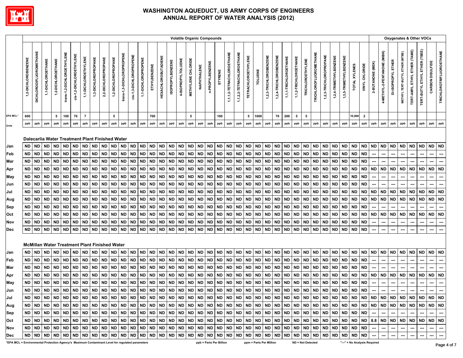

|                                                                                                 |                     |                                |                        |                    |                            |                          |                      |                                                 |                        |                     |                           |                         |                     |              |                            |                         |                    |                        | <b>Volatile Organic Compounds</b> |                        |                         |                           |                           |                            |                        |                        |                        |                        |                        |                          |                               |                        |                        |                        |                              |                |                          |                             |                    |                                | Oxygenates & Other VOCs             |                               |                  |                                 |
|-------------------------------------------------------------------------------------------------|---------------------|--------------------------------|------------------------|--------------------|----------------------------|--------------------------|----------------------|-------------------------------------------------|------------------------|---------------------|---------------------------|-------------------------|---------------------|--------------|----------------------------|-------------------------|--------------------|------------------------|-----------------------------------|------------------------|-------------------------|---------------------------|---------------------------|----------------------------|------------------------|------------------------|------------------------|------------------------|------------------------|--------------------------|-------------------------------|------------------------|------------------------|------------------------|------------------------------|----------------|--------------------------|-----------------------------|--------------------|--------------------------------|-------------------------------------|-------------------------------|------------------|---------------------------------|
|                                                                                                 | 1,2-DICHLOROBENZENE | <b>DICHLORODIFLUOROMETHANE</b> | 1,1-DICHLOROETHANE     | 1,2-DICHLOROETHANE | trans-1,2-DICHLOROETHYLENE | cis-1,2-DICHLOROETHYLENE | 1,1-DICHLOROETHYLENE | 1,3-DICHLOROPROPANE                             | 2,2-DICHLOROPROPANE    | 1,2-DICHLOROPROPANE | trans-1,3-DICHLOROPROPENE | cis-1,3-DICHLOROPROPENE | 1,1-DICHLOROPROPENE | ETHYLBENZENE | <b>HEXACHLOROBUTADIENE</b> | <b>ISOPROPYLBENZENE</b> | 4-ISOPROPYLTOLUENE | METHYLENE CHLORIDE     | NAPHTHALENE                       | n-PROPYLBENZENE        | STYRENE                 | 1,1,1,2-TETRACHLOROETHANE | 1,1,2,2-TETRACHLOROETHANE | <b>TETRACHLOROETHYLENE</b> | TOLUENE                | 1,2,3-TRICHLOROBENZENE | 1,2,4-TRICHLOROBENZENE | 1,1,1-TRICHLOROETHANE  | 1,1,2-TRICHLOROETHANE  | <b>TRICHLOROETHYLENE</b> | <b>TRICHLOROFLUOROMETHANE</b> | 1,2,3-TRICHLOROPROPANE | 1,2,4-TRIMETHYLBENZENE | 1,3,5-TRIMETHYLBENZENE | TOTAL XYLENES                | VINYL CHLORIDE | 2-BUTANONE (MEK)         | 4-METHYL-2-PENTANONE (MIBK) | DI-ISOPROPYL ETHER | METHYL TERT-BUTYL ETHER (MTBE) | <b>TERT-AMYL ETHYL ETHER (TAME)</b> | TERT-BUTYL ETHYL ETHER (TBEE) | CARBON DISULFIDE | <b>TRICHLOROTRIFLUOROETHANE</b> |
| <b>EPA MCL*</b>                                                                                 | 600                 |                                |                        | 5                  | 100                        | 70                       | $\overline{7}$       |                                                 |                        | 5                   |                           |                         |                     | 700          |                            |                         |                    | 5                      |                                   |                        | 100                     |                           |                           | 5                          | 1000                   |                        | 70                     | 200                    | 5                      | 5                        |                               |                        |                        |                        | 10,000                       | $\overline{2}$ |                          |                             |                    |                                |                                     |                               |                  |                                 |
|                                                                                                 | ppb                 | ppb                            | ppb                    | ppb                | ppb                        | ppb                      | ppb                  | ppb                                             | ppb                    | ppb                 | ppb                       | ppb                     | ppb                 | ppb          | ppb                        | ppb                     | ppb                | ppb                    | ppb                               | ppb                    | ppb                     | ppb                       | ppb                       | ppb                        | ppb                    | ppb                    | ppb                    | ppb                    | ppb                    | ppb                      | ppb                           | ppb                    | ppb                    | ppb                    | ppb                          | ppb            | ppb                      | ppb                         | ppb                | ppb                            | ppb                                 | ppb                           | ppb              | ppb                             |
| Units                                                                                           |                     |                                |                        |                    |                            |                          |                      |                                                 |                        |                     |                           |                         |                     |              |                            |                         |                    |                        |                                   |                        |                         |                           |                           |                            |                        |                        |                        |                        |                        |                          |                               |                        |                        |                        |                              |                |                          |                             |                    |                                |                                     |                               |                  |                                 |
|                                                                                                 |                     |                                |                        |                    |                            |                          |                      | Dalecarlia Water Treatment Plant Finished Water |                        |                     |                           |                         |                     |              |                            |                         |                    |                        |                                   |                        |                         |                           |                           |                            |                        |                        |                        |                        |                        |                          |                               |                        |                        |                        |                              |                |                          |                             |                    |                                |                                     |                               |                  |                                 |
| Jan                                                                                             | ND                  | ND                             | <b>ND</b>              | <b>ND</b>          | <b>ND</b>                  | <b>ND</b>                | <b>ND</b>            | ND                                              | <b>ND</b>              | ND                  | <b>ND</b>                 | <b>ND</b>               | ND   ND             |              | <b>ND</b>                  | <b>ND</b>               | <b>ND</b>          | <b>ND</b>              | <b>ND</b>                         | <b>ND</b>              | ND                      | <b>ND</b>                 | <b>ND</b>                 | <b>ND</b>                  | <b>ND</b>              | <b>ND</b>              | ND                     | <b>ND</b>              | <b>ND</b>              | <b>ND</b>                | <b>ND</b>                     | ND                     | ND                     | ND                     | ND                           | ND             | <b>ND</b>                | <b>ND</b>                   | <b>ND</b>          | <b>ND</b>                      | ND                                  | <b>ND</b>                     | ND               | ND                              |
| Feb                                                                                             | <b>ND</b>           | <b>ND</b>                      | <b>ND</b>              | <b>ND</b>          | ND                         | <b>ND</b>                | <b>ND</b>            | ND                                              | <b>ND</b>              | <b>ND</b>           | <b>ND</b>                 | <b>ND</b>               | ND                  | <b>ND</b>    | <b>ND</b>                  | <b>ND</b>               | <b>ND</b>          | <b>ND</b>              | <b>ND</b>                         | <b>ND</b>              | <b>ND</b>               | <b>ND</b>                 | <b>ND</b>                 | <b>ND</b>                  | <b>ND</b>              | <b>ND</b>              | <b>ND</b>              | <b>ND</b>              | <b>ND</b>              | <b>ND</b>                | <b>ND</b>                     | ND                     | <b>ND</b>              | ND                     | ND                           | <b>ND</b>      |                          |                             |                    |                                |                                     |                               | ---              |                                 |
| Mar                                                                                             | ND                  | <b>ND</b>                      | <b>ND</b>              | <b>ND</b>          | <b>ND</b>                  | <b>ND</b>                | ND.                  | <b>ND</b>                                       | <b>ND</b>              | <b>ND</b>           | <b>ND</b>                 | <b>ND</b>               | <b>ND</b>           | ND           | <b>ND</b>                  | <b>ND</b>               | <b>ND</b>          | <b>ND</b>              | <b>ND</b>                         | <b>ND</b>              | ND.                     | <b>ND</b>                 | <b>ND</b>                 | <b>ND</b>                  | ND                     | <b>ND</b>              | <b>ND</b>              | <b>ND</b>              | <b>ND</b>              | <b>ND</b>                | <b>ND</b>                     | <b>ND</b>              | ND                     | ND                     | <b>ND</b>                    | <b>ND</b>      |                          |                             |                    |                                |                                     |                               |                  |                                 |
| Apr                                                                                             | ND                  | <b>ND</b>                      | ND                     | <b>ND</b>          | <b>ND</b>                  | <b>ND</b>                | <b>ND</b>            | <b>ND</b>                                       | <b>ND</b>              | <b>ND</b>           | <b>ND</b>                 | <b>ND</b>               | ND                  | <b>ND</b>    | <b>ND</b>                  | <b>ND</b>               | <b>ND</b>          | <b>ND</b>              | <b>ND</b>                         | <b>ND</b>              | <b>ND</b>               | <b>ND</b>                 | <b>ND</b>                 | <b>ND</b>                  | <b>ND</b>              | <b>ND</b>              | <b>ND</b>              | <b>ND</b>              | <b>ND</b>              | <b>ND</b>                | <b>ND</b>                     | <b>ND</b>              | <b>ND</b>              | <b>ND</b>              | <b>ND</b>                    | <b>ND</b>      | <b>ND</b>                | <b>ND</b>                   | <b>ND</b>          | ND                             | <b>ND</b>                           | <b>ND</b>                     | <b>ND</b>        | <b>ND</b>                       |
| May                                                                                             | <b>ND</b>           | <b>ND</b>                      | <b>ND</b>              | <b>ND</b>          | <b>ND</b>                  | <b>ND</b>                | <b>ND</b>            | <b>ND</b>                                       | <b>ND</b>              | <b>ND</b>           | <b>ND</b>                 | <b>ND</b>               | ND                  | <b>ND</b>    | <b>ND</b>                  | <b>ND</b>               | <b>ND</b>          | <b>ND</b>              | <b>ND</b>                         | <b>ND</b>              | <b>ND</b>               | <b>ND</b>                 | <b>ND</b>                 | <b>ND</b>                  | <b>ND</b>              | <b>ND</b>              | <b>ND</b>              | <b>ND</b>              | <b>ND</b>              | <b>ND</b>                | <b>ND</b>                     | <b>ND</b>              | <b>ND</b>              | ND                     | ND   ND                      |                |                          |                             |                    |                                |                                     |                               |                  |                                 |
| Jun                                                                                             | ND                  | <b>ND</b>                      | <b>ND</b>              | <b>ND</b>          | <b>ND</b>                  | <b>ND</b>                | <b>ND</b>            | <b>ND</b>                                       | <b>ND</b>              | <b>ND</b>           | <b>ND</b>                 | <b>ND</b>               | ND                  | <b>ND</b>    | <b>ND</b>                  | <b>ND</b>               | <b>ND</b>          | ND                     | <b>ND</b>                         | <b>ND</b>              | ND.                     | <b>ND</b>                 | <b>ND</b>                 | <b>ND</b>                  | <b>ND</b>              | <b>ND</b>              | <b>ND</b>              | <b>ND</b>              | <b>ND</b>              | <b>ND</b>                | <b>ND</b>                     | ND                     | <b>ND</b>              | ND                     | ND                           | <b>ND</b>      |                          |                             |                    |                                |                                     |                               |                  |                                 |
| Jul                                                                                             | ND                  | <b>ND</b>                      | <b>ND</b>              | <b>ND</b>          | <b>ND</b>                  | <b>ND</b>                | <b>ND</b>            | <b>ND</b>                                       | <b>ND</b>              | <b>ND</b>           | <b>ND</b>                 | <b>ND</b>               | ND   ND             |              | <b>ND</b>                  | <b>ND</b>               | <b>ND</b>          | <b>ND</b>              | <b>ND</b>                         | <b>ND</b>              | ND                      | <b>ND</b>                 | <b>ND</b>                 | <b>ND</b>                  | <b>ND</b>              | <b>ND</b>              | <b>ND</b>              | <b>ND</b>              | <b>ND</b>              | <b>ND</b>                | <b>ND</b>                     | ND                     | <b>ND</b>              | <b>ND</b>              | ND                           | <b>ND</b>      | <b>ND</b>                | <b>ND</b>                   | <b>ND</b>          | <b>ND</b>                      | <b>ND</b>                           | <b>ND</b>                     | ND               | <b>ND</b>                       |
| Aug                                                                                             | ND                  | <b>ND</b>                      | <b>ND</b>              | <b>ND</b>          | <b>ND</b>                  | <b>ND</b>                | <b>ND</b>            | <b>ND</b>                                       | <b>ND</b>              | ND                  | <b>ND</b>                 | <b>ND</b>               | ND                  | <b>ND</b>    | <b>ND</b>                  | <b>ND</b>               | <b>ND</b>          | ND                     | <b>ND</b>                         | <b>ND</b>              | ND                      | <b>ND</b>                 | <b>ND</b>                 | <b>ND</b>                  | <b>ND</b>              | <b>ND</b>              | <b>ND</b>              | <b>ND</b>              | <b>ND</b>              | <b>ND</b>                | <b>ND</b>                     | ND                     | <b>ND</b>              | ND                     | ND ND                        |                | <b>ND</b>                | <b>ND</b>                   | <b>ND</b>          | <b>ND</b>                      | <b>ND</b>                           | <b>ND</b>                     | <b>ND</b>        | <b>ND</b>                       |
| Sep                                                                                             | ND                  | <b>ND</b>                      | <b>ND</b>              | <b>ND</b>          | <b>ND</b>                  | <b>ND</b>                | <b>ND</b>            | <b>ND</b>                                       | <b>ND</b>              | <b>ND</b>           | <b>ND</b>                 | <b>ND</b>               | <b>ND</b>           | <b>ND</b>    | <b>ND</b>                  | <b>ND</b>               | <b>ND</b>          | <b>ND</b>              | <b>ND</b>                         | <b>ND</b>              | <b>ND</b>               | <b>ND</b>                 | <b>ND</b>                 | <b>ND</b>                  | <b>ND</b>              | <b>ND</b>              | <b>ND</b>              | <b>ND</b>              | <b>ND</b>              | <b>ND</b>                | <b>ND</b>                     | ND                     | <b>ND</b>              | <b>ND</b>              | <b>ND</b>                    | <b>ND</b>      |                          |                             |                    |                                |                                     |                               |                  |                                 |
|                                                                                                 | <b>ND</b>           | <b>ND</b>                      | <b>ND</b>              | <b>ND</b>          | <b>ND</b>                  | <b>ND</b>                | <b>ND</b>            | <b>ND</b>                                       | <b>ND</b>              | <b>ND</b>           | <b>ND</b>                 | <b>ND</b>               | ND   ND             |              | <b>ND</b>                  | <b>ND</b>               | <b>ND</b>          | <b>ND</b>              | <b>ND</b>                         | <b>ND</b>              | ND                      | <b>ND</b>                 | <b>ND</b>                 | <b>ND</b>                  | <b>ND</b>              | <b>ND</b>              | <b>ND</b>              | <b>ND</b>              | <b>ND</b>              | <b>ND</b>                | <b>ND</b>                     | <b>ND</b>              | <b>ND</b>              | <b>ND</b>              | ND                           | <b>ND</b>      | <b>ND</b>                | <b>ND</b>                   | <b>ND</b>          | <b>ND</b>                      | <b>ND</b>                           | <b>ND</b>                     | <b>ND</b>        | <b>ND</b>                       |
| Oct                                                                                             | <b>ND</b>           |                                |                        | <b>ND</b>          | <b>ND</b>                  |                          |                      | <b>ND</b>                                       |                        |                     |                           |                         |                     |              |                            |                         |                    |                        | <b>ND</b>                         |                        |                         | <b>ND</b>                 |                           |                            |                        | <b>ND</b>              |                        |                        |                        |                          |                               |                        |                        |                        |                              |                |                          |                             |                    |                                |                                     |                               |                  |                                 |
| Nov                                                                                             |                     | <b>ND</b><br><b>ND</b>         | <b>ND</b><br><b>ND</b> | <b>ND</b>          | <b>ND</b>                  | <b>ND</b><br><b>ND</b>   | ND<br><b>ND</b>      | <b>ND</b>                                       | <b>ND</b><br><b>ND</b> | ND<br><b>ND</b>     | <b>ND</b><br><b>ND</b>    | <b>ND</b><br><b>ND</b>  | ND<br>ND ND         | <b>ND</b>    | <b>ND</b><br><b>ND</b>     | <b>ND</b><br><b>ND</b>  | <b>ND</b><br>ND    | <b>ND</b><br><b>ND</b> | <b>ND</b>                         | <b>ND</b><br><b>ND</b> | ND<br><b>ND</b>         | <b>ND</b>                 | <b>ND</b><br><b>ND</b>    | <b>ND</b><br><b>ND</b>     | <b>ND</b><br><b>ND</b> | <b>ND</b>              | <b>ND</b><br><b>ND</b> | <b>ND</b><br><b>ND</b> | <b>ND</b><br><b>ND</b> | <b>ND</b><br><b>ND</b>   | <b>ND</b><br><b>ND</b>        | ND<br><b>ND</b>        | <b>ND</b><br><b>ND</b> | <b>ND</b>              | ND<br>ND ND                  | <b>ND</b>      |                          |                             |                    |                                |                                     |                               | ---              |                                 |
| Dec                                                                                             | ND                  |                                |                        |                    |                            |                          |                      |                                                 |                        |                     |                           |                         |                     |              |                            |                         |                    |                        |                                   |                        |                         |                           |                           |                            |                        |                        |                        |                        |                        |                          |                               |                        |                        | <b>ND</b>              |                              |                |                          | ---                         | ---                |                                | ---                                 |                               | ---              |                                 |
|                                                                                                 |                     |                                |                        |                    |                            |                          |                      |                                                 |                        |                     |                           |                         |                     |              |                            |                         |                    |                        |                                   |                        |                         |                           |                           |                            |                        |                        |                        |                        |                        |                          |                               |                        |                        |                        |                              |                |                          |                             |                    |                                |                                     |                               |                  |                                 |
|                                                                                                 |                     |                                |                        |                    |                            |                          |                      | McMillan Water Treatment Plant Finished Water   |                        |                     |                           |                         |                     |              |                            |                         |                    |                        |                                   |                        |                         |                           |                           |                            |                        |                        |                        |                        |                        |                          |                               |                        |                        |                        |                              |                |                          |                             |                    |                                |                                     |                               |                  |                                 |
| Jan                                                                                             | <b>ND</b>           | <b>ND</b>                      | <b>ND</b>              | <b>ND</b>          | <b>ND</b>                  | <b>ND</b>                | <b>ND</b>            | <b>ND</b>                                       | <b>ND</b>              | <b>ND</b>           | <b>ND</b>                 | <b>ND</b>               | ND ND               |              | <b>ND</b>                  | <b>ND</b>               | <b>ND</b>          | <b>ND</b>              | <b>ND</b>                         | <b>ND</b>              | ND                      | <b>ND</b>                 | <b>ND</b>                 | <b>ND</b>                  | <b>ND</b>              | <b>ND</b>              | <b>ND</b>              | <b>ND</b>              | <b>ND</b>              | <b>ND</b>                | <b>ND</b>                     | ND                     | <b>ND</b>              | <b>ND</b>              | ND ND                        |                | <b>ND</b>                | <b>ND</b>                   | <b>ND</b>          | <b>ND</b>                      | <b>ND</b>                           | <b>ND</b>                     | ND               | ND                              |
| Feb                                                                                             | ND                  |                                | ND ND                  | <b>ND</b>          | <b>ND</b>                  | <b>ND</b>                | <b>ND</b>            | ND                                              | <b>ND</b>              | <b>ND</b>           | <b>ND</b>                 | <b>ND</b>               | <b>ND</b>           | <b>ND</b>    | <b>ND</b>                  | <b>ND</b>               | <b>ND</b>          | <b>ND</b>              | <b>ND</b>                         | <b>ND</b>              | <b>ND</b>               | <b>ND</b>                 | <b>ND</b>                 | <b>ND</b>                  | <b>ND</b>              | <b>ND</b>              | <b>ND</b>              | <b>ND</b>              | <b>ND</b>              | <b>ND</b>                | <b>ND</b>                     | <b>ND</b>              | <b>ND</b>              | ND                     | <b>ND</b>                    | ND             |                          |                             |                    |                                | ---                                 | $\hspace{0.05cm} \cdots$      | ---              |                                 |
| Mar                                                                                             | ND                  | <b>ND</b>                      | <b>ND</b>              | <b>ND</b>          | <b>ND</b>                  | <b>ND</b>                | <b>ND</b>            | <b>ND</b>                                       | <b>ND</b>              | <b>ND</b>           | <b>ND</b>                 | <b>ND</b>               | ND                  | <b>ND</b>    | <b>ND</b>                  | <b>ND</b>               | <b>ND</b>          | <b>ND</b>              | <b>ND</b>                         | <b>ND</b>              | <b>ND</b>               | <b>ND</b>                 | <b>ND</b>                 | <b>ND</b>                  | <b>ND</b>              | <b>ND</b>              | <b>ND</b>              | <b>ND</b>              | <b>ND</b>              | <b>ND</b>                | <b>ND</b>                     | <b>ND</b>              | <b>ND</b>              | ND                     | ND                           | <b>ND</b>      |                          |                             |                    |                                |                                     |                               | ---              |                                 |
| Apr                                                                                             | ND                  | <b>ND</b>                      | <b>ND</b>              | <b>ND</b>          | <b>ND</b>                  | <b>ND</b>                | <b>ND</b>            | <b>ND</b>                                       | <b>ND</b>              | <b>ND</b>           | <b>ND</b>                 | <b>ND</b>               | <b>ND</b>           | <b>ND</b>    | <b>ND</b>                  | <b>ND</b>               | <b>ND</b>          | <b>ND</b>              | <b>ND</b>                         | <b>ND</b>              | <b>ND</b>               | <b>ND</b>                 | <b>ND</b>                 | <b>ND</b>                  | <b>ND</b>              | <b>ND</b>              | <b>ND</b>              | <b>ND</b>              | <b>ND</b>              | <b>ND</b>                | <b>ND</b>                     | <b>ND</b>              | <b>ND</b>              | <b>ND</b>              | <b>ND</b>                    | <b>ND</b>      | <b>ND</b>                | <b>ND</b>                   | <b>ND</b>          | <b>ND</b>                      | <b>ND</b>                           | <b>ND</b>                     | <b>ND</b>        | <b>ND</b>                       |
| May                                                                                             | ND                  |                                | ND ND                  | <b>ND</b>          | <b>ND</b>                  | <b>ND</b>                | <b>ND</b>            | <b>ND</b>                                       | ND                     | <b>ND</b>           | <b>ND</b>                 | <b>ND</b>               | ND ND               |              | <b>ND</b>                  | <b>ND</b>               | <b>ND</b>          | ND                     | <b>ND</b>                         | <b>ND</b>              | ND.                     | ND                        | <b>ND</b>                 | <b>ND</b>                  | <b>ND</b>              | <b>ND</b>              | <b>ND</b>              | <b>ND</b>              | ND                     | <b>ND</b>                | <b>ND</b>                     | ND.                    | <b>ND</b>              | ND                     | ND ND                        |                |                          |                             |                    |                                |                                     |                               |                  |                                 |
| Jun                                                                                             |                     |                                | ND ND ND               | <b>ND</b>          | <b>ND</b>                  | ND                       | <b>ND</b>            | <b>ND</b>                                       | <b>ND</b>              | <b>ND</b>           | <b>ND</b>                 | <b>ND</b>               | ND ND               |              | <b>ND</b>                  | <b>ND</b>               | ND ND              |                        | <b>ND</b>                         | <b>ND</b>              | <b>ND</b>               | <b>ND</b>                 | <b>ND</b>                 | ND ND                      |                        | <b>ND</b>              | ND ND                  |                        | <b>ND</b>              | <b>ND</b>                | <b>ND</b>                     | <b>ND</b>              | <b>ND</b>              | <b>ND</b>              | ND ND                        |                | $\hspace{0.05cm} \cdots$ | ---                         | ---                | ---                            | ---                                 | ---                           | ---              |                                 |
| Jul                                                                                             |                     |                                |                        |                    |                            |                          |                      |                                                 |                        |                     |                           |                         |                     |              |                            |                         |                    |                        |                                   |                        |                         |                           |                           |                            |                        |                        |                        |                        |                        |                          |                               |                        |                        |                        |                              |                |                          |                             |                    |                                |                                     |                               |                  |                                 |
| Aug                                                                                             |                     |                                |                        |                    |                            |                          |                      |                                                 |                        |                     |                           |                         |                     |              |                            |                         |                    |                        |                                   |                        |                         |                           |                           |                            |                        |                        |                        |                        |                        |                          |                               |                        |                        |                        |                              |                |                          |                             |                    |                                |                                     |                               |                  |                                 |
| Sep                                                                                             |                     |                                |                        |                    |                            |                          |                      |                                                 |                        |                     |                           |                         |                     |              |                            |                         |                    |                        |                                   |                        |                         |                           |                           |                            |                        |                        |                        |                        |                        |                          |                               |                        |                        |                        |                              |                |                          | --- 1                       | --- 1              | $\sim$                         | $\sim$ $\sim$                       |                               | $\sim$           |                                 |
| Oct                                                                                             |                     |                                |                        |                    |                            |                          |                      |                                                 |                        |                     |                           |                         |                     |              |                            |                         |                    |                        |                                   |                        |                         |                           |                           |                            |                        |                        |                        |                        |                        |                          |                               |                        |                        |                        |                              |                |                          |                             |                    |                                |                                     |                               |                  |                                 |
| Nov                                                                                             |                     |                                |                        |                    |                            |                          |                      |                                                 |                        |                     |                           |                         |                     |              |                            |                         |                    |                        |                                   |                        |                         |                           |                           |                            |                        |                        |                        |                        |                        |                          |                               |                        |                        |                        |                              |                |                          | $\sim$                      |                    | $\cdots$                       | $\sim$                              |                               | $\cdots$         | $\sim$                          |
| Dec                                                                                             |                     |                                |                        |                    |                            |                          |                      |                                                 |                        |                     |                           |                         |                     |              |                            |                         |                    |                        |                                   |                        |                         |                           |                           |                            |                        |                        |                        |                        |                        |                          |                               |                        |                        |                        |                              |                |                          | . <b>.</b>                  | $\sim$             |                                |                                     |                               |                  |                                 |
| EPA MCL = Environmental Protection Agency's Maximum Contaminant Level for regulated parameters* |                     |                                |                        |                    |                            |                          |                      |                                                 |                        |                     |                           |                         |                     |              |                            |                         |                    |                        |                                   |                        | ppb = Parts Per Billion |                           |                           | ppm = Parts Per Million    |                        |                        |                        |                        | ND = Not Detected      |                          |                               |                        |                        |                        | "---" = No Analysis Required |                |                          |                             |                    |                                |                                     |                               |                  |                                 |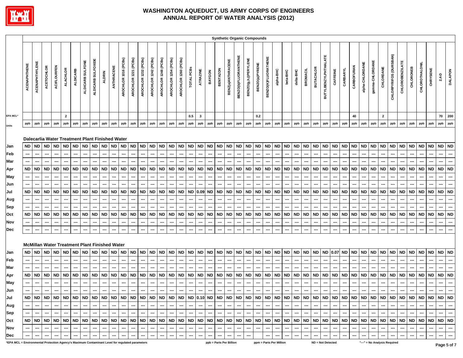

|                                                                                                 |              |                          |                          |                          |                 |                          |                          |                    |                                                      |            |                          |                          |                                                               |                          |                          |                          |                      |                          |                          |                          |                          | <b>Synthetic Organic Compounds</b> |                             |                             |                          |                          |                          |                          |           |                          |                          |                             |                          |           |                          |                          |                         |                              |                          |                          |                          |                          |                          |                          |                          |
|-------------------------------------------------------------------------------------------------|--------------|--------------------------|--------------------------|--------------------------|-----------------|--------------------------|--------------------------|--------------------|------------------------------------------------------|------------|--------------------------|--------------------------|---------------------------------------------------------------|--------------------------|--------------------------|--------------------------|----------------------|--------------------------|--------------------------|--------------------------|--------------------------|------------------------------------|-----------------------------|-----------------------------|--------------------------|--------------------------|--------------------------|--------------------------|-----------|--------------------------|--------------------------|-----------------------------|--------------------------|-----------|--------------------------|--------------------------|-------------------------|------------------------------|--------------------------|--------------------------|--------------------------|--------------------------|--------------------------|--------------------------|--------------------------|
|                                                                                                 | ACENAPHTHENE | ACENAPHTHYLENE           | ACETOCHLOR               | <b>ACIFLOURFEN</b>       | <b>ALACHLOR</b> | <b>ALDICARB</b>          | ALDICARB SULFONE         | ALDICARB SULFOXIDE | <b>ALDRIN</b>                                        | ANTHRACENE | AROCHLOR 1016 (PCBs)     | AROCHLOR 1221 (PCBs)     | AROCHLOR 1232 (PCBs)                                          | AROCHLOR 1242 (PCBs)     | AROCHLOR 1248 (PCBs)     | AROCHLOR 1254 (PCBs)     | AROCHLOR 1260 (PCBs) | TOTAL PCBs               | <b>ATRAZINE</b>          | BAYGON                   | <b>BENTAZON</b>          | BENZ(a)ANTHRACENE                  | <b>BENZO(b)FLUORANTHENE</b> | <b>BENZO(g,h,I)PERYLENE</b> | BENZO(a)PYRENE           | BENZO(K)FLUORATHENE      | alpha-BHC                | beta-BHC                 | delta-BHC | <b>BROMACIL</b>          | <b>BUTACHLOR</b>         | <b>BUTYLBENZYLPHTHALATE</b> | CAFFEINE                 | CARBARYL  | CARBOFURAN               | alpha-CHLORDANE          | gamma-CHLORDANE         | CHLORDANE                    | CHLORPYRIFOS (DURSBAN)   | <b>CHLOROBENZILATE</b>   | CHLORONEB                | CHLOROTHALOM             | CHRYSENE                 | $2,4-D$                  | <b>DALAPON</b>           |
| <b>EPA MCL*</b>                                                                                 |              |                          |                          |                          | $\overline{2}$  |                          |                          |                    |                                                      |            |                          |                          |                                                               |                          |                          |                          |                      | 0.5                      | $\mathbf{3}$             |                          |                          |                                    |                             |                             | 0.2                      |                          |                          |                          |           |                          |                          |                             |                          |           | 40                       |                          |                         | $\overline{2}$               |                          |                          |                          |                          |                          | 70                       | 200                      |
| Units                                                                                           | ppb          | ppb                      | ppb                      | ppb                      | ppb             | ppb                      | ppb                      | ppb                | ppb                                                  | ppb        | ppb                      | ppb                      | ppb                                                           | ppb                      | ppb                      | ppb                      | ppb                  | ppb                      | ppb                      | ppb                      | ppb                      | ppb                                | ppb                         | ppb                         | ppb                      | ppb                      | ppb                      | ppb                      | ppb       | ppb                      | ppb                      | ppb                         | ppb                      | ppb       | ppb                      | ppb                      | ppb                     | ppb                          | ppb                      | ppb                      | ppb                      | ppb                      | ppb                      | ppb                      | ppb                      |
|                                                                                                 |              |                          |                          |                          |                 |                          |                          |                    |                                                      |            |                          |                          |                                                               |                          |                          |                          |                      |                          |                          |                          |                          |                                    |                             |                             |                          |                          |                          |                          |           |                          |                          |                             |                          |           |                          |                          |                         |                              |                          |                          |                          |                          |                          |                          |                          |
|                                                                                                 |              |                          |                          |                          |                 |                          |                          |                    | Dalecarlia Water Treatment Plant Finished Water      |            |                          |                          |                                                               |                          |                          |                          |                      |                          |                          |                          |                          |                                    |                             |                             |                          |                          |                          |                          |           |                          |                          |                             |                          |           |                          |                          |                         |                              |                          |                          |                          |                          |                          |                          |                          |
| Jan                                                                                             | <b>ND</b>    | ND                       | <b>ND</b>                | <b>ND</b>                | <b>ND</b>       | <b>ND</b>                | $\sf ND$                 | <b>ND</b>          | <b>ND</b>                                            | <b>ND</b>  | <b>ND</b>                | $\sf ND$                 | <b>ND</b>                                                     | <b>ND</b>                | <b>ND</b>                | <b>ND</b>                | $\sf ND$             | <b>ND</b>                | ND                       | <b>ND</b>                | <b>ND</b>                | <b>ND</b>                          | <b>ND</b>                   | <b>ND</b>                   | <b>ND</b>                | <b>ND</b>                |                          | ND ND                    | $\sf ND$  | <b>ND</b>                | <b>ND</b>                | ND ND                       |                          | $\sf ND$  | <b>ND</b>                | <b>ND</b>                | ND ND                   |                              | <b>ND</b>                | <b>ND</b>                | <b>ND</b>                | ND ND                    |                          | ND ND                    |                          |
| Feb                                                                                             |              |                          | ---                      |                          |                 | ---                      |                          |                    |                                                      |            | ---                      | ---                      | ---                                                           |                          |                          | ---                      | ---                  |                          |                          |                          |                          | ---                                | ---                         |                             |                          |                          | ---                      |                          |           |                          |                          |                             |                          |           |                          | ---                      |                         |                              |                          |                          | ---                      | ---                      |                          | ---                      |                          |
| Mar                                                                                             |              |                          |                          |                          |                 | ---                      |                          |                    |                                                      |            |                          |                          |                                                               |                          |                          |                          |                      |                          |                          |                          |                          |                                    |                             |                             |                          |                          |                          |                          |           |                          |                          |                             |                          |           |                          |                          |                         |                              |                          |                          |                          |                          |                          |                          |                          |
| Apr                                                                                             | <b>ND</b>    | <b>ND</b>                | <b>ND</b>                | <b>ND</b>                | <b>ND</b>       | <b>ND</b>                | <b>ND</b>                | <b>ND</b>          | <b>ND</b>                                            | <b>ND</b>  | <b>ND</b>                | <b>ND</b>                | <b>ND</b>                                                     | <b>ND</b>                | <b>ND</b>                | <b>ND</b>                | <b>ND</b>            | <b>ND</b>                | <b>ND</b>                | <b>ND</b>                | <b>ND</b>                | <b>ND</b>                          | <b>ND</b>                   | <b>ND</b>                   | <b>ND</b>                | <b>ND</b>                | <b>ND</b>                | <b>ND</b>                | <b>ND</b> | <b>ND</b>                | <b>ND</b>                | <b>ND</b>                   | <b>ND</b>                | <b>ND</b> | <b>ND</b>                | <b>ND</b>                | <b>ND</b>               | <b>ND</b>                    | <b>ND</b>                | <b>ND</b>                | <b>ND</b>                | <b>ND</b>                | <b>ND</b>                | <b>ND</b>                | <b>ND</b>                |
| May                                                                                             | ---          | ---                      | ---                      |                          |                 | ---                      | ⊷                        | --                 |                                                      |            | ---                      | ---                      | ---                                                           |                          |                          | $\overline{\phantom{a}}$ | ---                  | --                       |                          |                          | ---                      | ---                                | ---                         |                             |                          | $\overline{\phantom{a}}$ | ---                      | $\overline{\phantom{a}}$ |           | ---                      | $\overline{\phantom{a}}$ |                             |                          |           |                          | ---                      |                         |                              |                          |                          | ---                      |                          |                          | ---                      | ---                      |
| Jun                                                                                             |              |                          |                          |                          |                 | ---                      |                          |                    |                                                      |            | ---                      |                          |                                                               |                          |                          |                          |                      |                          |                          |                          |                          |                                    |                             |                             |                          |                          |                          |                          |           |                          |                          |                             |                          |           |                          |                          |                         |                              |                          |                          |                          |                          |                          |                          |                          |
| Jul                                                                                             | <b>ND</b>    | <b>ND</b>                | <b>ND</b>                | <b>ND</b>                | <b>ND</b>       | <b>ND</b>                | ND                       | <b>ND</b>          | <b>ND</b>                                            | <b>ND</b>  | <b>ND</b>                | ND                       | <b>ND</b>                                                     | <b>ND</b>                | <b>ND</b>                | <b>ND</b>                | <b>ND</b>            | <b>ND</b>                | 0.09                     | <b>ND</b>                | <b>ND</b>                | <b>ND</b>                          | <b>ND</b>                   | <b>ND</b>                   | <b>ND</b>                | <b>ND</b>                |                          | ND ND                    | <b>ND</b> | <b>ND</b>                | <b>ND</b>                | ND                          | <b>ND</b>                | <b>ND</b> | <b>ND</b>                | <b>ND</b>                | <b>ND</b>               | <b>ND</b>                    | <b>ND</b>                | <b>ND</b>                | <b>ND</b>                | <b>ND</b>                | <b>ND</b>                | <b>ND</b>                | <b>ND</b>                |
| Aug                                                                                             | ---          |                          | ---                      | ---                      |                 | ---                      | ---                      | ---                | ---                                                  |            | ---                      | ---                      | ---                                                           | ---                      |                          | ---                      | ---                  | ---                      | $\overline{\phantom{a}}$ |                          | ---                      | ---                                | ---                         | ---                         | ---                      | ---                      | ---                      | $\overline{\phantom{a}}$ | ---       | ---                      | ---                      | ---                         | $\overline{\phantom{a}}$ | ---       | ---                      | ---                      | ---                     | $\sim$                       | ---                      |                          | ---                      | ---                      | ---                      | ---                      | ---                      |
| Sep                                                                                             |              |                          | ---                      |                          |                 | ---                      |                          | --                 |                                                      | ---        |                          | ---                      |                                                               |                          | ---                      |                          | ---                  | ⊷                        |                          | ---                      |                          | ---                                | ---                         |                             | ---                      | ---                      | ---                      |                          |           | ---                      |                          |                             |                          |           | ---                      |                          |                         |                              |                          |                          | ---                      |                          | ---                      | ---                      | ---                      |
| Oct                                                                                             | <b>ND</b>    | <b>ND</b>                | <b>ND</b>                | <b>ND</b>                | <b>ND</b>       | <b>ND</b>                | <b>ND</b>                | <b>ND</b>          | <b>ND</b>                                            | <b>ND</b>  | <b>ND</b>                | <b>ND</b>                | <b>ND</b>                                                     | <b>ND</b>                | <b>ND</b>                | <b>ND</b>                | <b>ND</b>            | <b>ND</b>                | <b>ND</b>                | <b>ND</b>                | <b>ND</b>                | <b>ND</b>                          | <b>ND</b>                   | <b>ND</b>                   | <b>ND</b>                | <b>ND</b>                | <b>ND</b>                | <b>ND</b>                | <b>ND</b> | <b>ND</b>                | <b>ND</b>                | <b>ND</b>                   | <b>ND</b>                | <b>ND</b> | <b>ND</b>                | <b>ND</b>                | <b>ND</b>               | <b>ND</b>                    | <b>ND</b>                | <b>ND</b>                | <b>ND</b>                | <b>ND</b>                | <b>ND</b>                | $\sf ND$                 | <b>ND</b>                |
| Nov                                                                                             | ---          |                          | ---                      | ---                      | ---             | ---                      | ⊷                        | --                 |                                                      | ---        | $\hspace{0.05cm} \ldots$ | ---                      | --                                                            | ---                      | ---                      | $\hspace{0.05cm} \ldots$ | ---                  | ---                      | ---                      | ---                      | $\hspace{0.05cm} \cdots$ | ---                                | ---                         | ---                         | ---                      | ---                      | ---                      | $\overline{\phantom{a}}$ | ---       | ---                      | ---                      | ---                         | ---                      | ---       | ---                      | ---                      | --                      | ---                          | ---                      | ---                      | ---                      | ---                      | ---                      | ---                      | ---                      |
| Dec                                                                                             | ---          |                          | ---                      |                          |                 | ---                      |                          | ---                |                                                      | ---        | ---                      | ---                      | ---                                                           |                          | ---                      | ---                      | ---                  | ---                      |                          | $\overline{\phantom{a}}$ | ---                      | ---                                | ---                         |                             | $\overline{\phantom{a}}$ | ---                      | ---                      |                          |           | ---                      | ---                      |                             |                          |           | ---                      |                          |                         |                              |                          |                          |                          |                          |                          | ---                      |                          |
|                                                                                                 |              |                          |                          |                          |                 |                          |                          |                    |                                                      |            |                          |                          |                                                               |                          |                          |                          |                      |                          |                          |                          |                          |                                    |                             |                             |                          |                          |                          |                          |           |                          |                          |                             |                          |           |                          |                          |                         |                              |                          |                          |                          |                          |                          |                          |                          |
|                                                                                                 |              |                          |                          |                          |                 |                          |                          |                    | <b>McMillan Water Treatment Plant Finished Water</b> |            |                          |                          |                                                               |                          |                          |                          |                      |                          |                          |                          |                          |                                    |                             |                             |                          |                          |                          |                          |           |                          |                          |                             |                          |           |                          |                          |                         |                              |                          |                          |                          |                          |                          |                          |                          |
| Jan                                                                                             | <b>ND</b>    | <b>ND</b>                | ND                       | <b>ND</b>                | ND ND           |                          | <b>ND</b>                | ND                 | ND ND                                                |            | <b>ND</b>                | <b>ND</b>                | <b>ND</b>                                                     | <b>ND</b>                | <b>ND</b>                | <b>ND</b>                | <b>ND</b>            | <b>ND</b>                | <b>ND</b>                | <b>ND</b>                | <b>ND</b>                | ND                                 | <b>ND</b>                   | <b>ND</b>                   | <b>ND</b>                | <b>ND</b>                |                          | ND ND                    | <b>ND</b> | <b>ND</b>                | <b>ND</b>                | ND 0.07                     |                          | <b>ND</b> | <b>ND</b>                | <b>ND</b>                | ND ND                   |                              | <b>ND</b>                | <b>ND</b>                | <b>ND</b>                | ND ND                    |                          | ND ND                    |                          |
|                                                                                                 |              |                          |                          |                          |                 |                          |                          |                    |                                                      |            |                          |                          |                                                               |                          |                          |                          |                      |                          |                          |                          |                          |                                    |                             |                             |                          |                          |                          |                          |           |                          |                          |                             |                          |           |                          |                          |                         |                              |                          |                          |                          |                          |                          |                          |                          |
| Feb                                                                                             |              | ⊷                        | --<br>---                |                          |                 | ---                      |                          |                    |                                                      |            | ---                      |                          | ---                                                           |                          |                          |                          | ⊷                    | ⊷                        |                          |                          |                          | ⊷                                  | ---                         |                             |                          |                          |                          |                          |           | ---                      |                          |                             |                          |           |                          |                          |                         |                              |                          |                          |                          |                          |                          |                          |                          |
| Mar                                                                                             |              |                          | <b>ND</b>                | <b>ND</b>                | <b>ND</b>       | <b>ND</b>                | <b>ND</b>                | <b>ND</b>          | <b>ND</b>                                            | <b>ND</b>  | <b>ND</b>                | <b>ND</b>                | <b>ND</b>                                                     | <b>ND</b>                | <b>ND</b>                |                          | <b>ND</b>            | <b>ND</b>                | <b>ND</b>                | <b>ND</b>                | <b>ND</b>                | ND                                 | <b>ND</b>                   | <b>ND</b>                   | <b>ND</b>                |                          |                          | ND ND                    | <b>ND</b> | <b>ND</b>                |                          | ND ND                       |                          | <b>ND</b> | <b>ND</b>                | <b>ND</b>                |                         |                              | <b>ND</b>                | <b>ND</b>                | <b>ND</b>                | ND ND                    |                          | <b>ND</b>                | <b>ND</b>                |
| Apr                                                                                             | ND           | <b>ND</b>                |                          |                          |                 |                          |                          |                    |                                                      |            |                          |                          |                                                               |                          |                          | <b>ND</b>                |                      |                          |                          |                          |                          |                                    |                             |                             |                          | <b>ND</b>                |                          |                          |           |                          | <b>ND</b>                |                             |                          |           |                          |                          | ND ND                   |                              |                          |                          |                          |                          |                          |                          |                          |
| May                                                                                             |              |                          |                          |                          |                 | ---                      | ---                      |                    |                                                      |            | ---                      | ---                      |                                                               |                          |                          |                          | ---                  |                          |                          |                          | ---                      | ---                                |                             |                             |                          | ---                      | ---                      |                          |           | ---                      |                          | ---                         |                          |           | ---                      |                          | ---                     |                              |                          |                          |                          |                          |                          |                          |                          |
| Jun                                                                                             | ---          | ---                      | ---                      | ---                      | ---             | ---                      | ---                      | ---                | ---                                                  | ---        | ---                      | ---                      | ---                                                           | $\sim$                   | $\overline{\phantom{a}}$ | $\overline{\phantom{a}}$ | ---                  | ---                      | ---                      | ---                      | $\overline{\phantom{a}}$ | ---                                | ---                         | $\overline{\phantom{a}}$    | ---                      | ---                      | ---                      | $\hspace{0.05cm} \ldots$ | ---       | ---                      | ---                      | ---                         | $\hspace{0.05cm} \cdots$ | ---       | ---                      | ---                      | ---                     | ---                          | ---                      | ---                      | ---                      | ---                      | ---                      | ---                      |                          |
| Jul                                                                                             | <b>ND</b>    |                          |                          |                          |                 |                          |                          |                    |                                                      |            |                          |                          |                                                               |                          |                          |                          |                      |                          |                          |                          |                          |                                    |                             |                             |                          |                          |                          |                          |           |                          |                          |                             |                          |           |                          |                          |                         |                              |                          |                          |                          |                          |                          |                          |                          |
| Aug                                                                                             | ---          | $\overline{\phantom{a}}$ | $\sim$                   | $\sim$                   | $\sim$          | $\sim$                   | $\overline{\phantom{a}}$ | $\sim$             | $\sim$                                               | $\sim$     | $\overline{\phantom{a}}$ | $-1$                     | $\hspace{0.1mm}-\hspace{0.1mm}-\hspace{0.1mm}-\hspace{0.1mm}$ | $\sim$                   | $\overline{\phantom{a}}$ | $\overline{\phantom{a}}$ | $\sim$               | $\sim$                   | $\sim$                   | $\sim$                   | $\overline{\phantom{a}}$ | $\sim$                             | $\sim$                      | $\sim$                      | $\sim$                   | $\overline{\phantom{a}}$ | $\overline{\phantom{a}}$ | $\sim$                   | $\sim$    | $\sim$                   | $\overline{\phantom{a}}$ | $\sim$                      | $\sim$                   | $\sim$    | $\sim$                   | $\sim$                   | $\hspace{0.1em} \ldots$ | $\sim$                       | $\sim$                   | $\overline{\phantom{a}}$ | $\overline{\phantom{a}}$ | $\overline{\phantom{a}}$ | $\hspace{0.05cm} \cdots$ | $\hspace{0.05cm} \cdots$ | $\overline{\phantom{a}}$ |
| Sep                                                                                             |              | $\sim$                   | $\hspace{0.05cm} \cdots$ | $\sim$                   | $\sim$          | $\overline{\phantom{a}}$ | $\sim$                   | $\sim$             | $\overline{\phantom{a}}$                             | $\sim$     | $\sim$                   | $\sim$                   | $\sim$                                                        | $\overline{\phantom{a}}$ | $\sim$                   | $\hspace{0.05cm} \cdots$ | $\sim$               | $\sim$                   | $\sim$                   | $\sim$                   | $\overline{\phantom{a}}$ | $\sim$                             | $\sim$                      | $\overline{\phantom{a}}$    | $\sim$                   | $\overline{\phantom{a}}$ | $\sim$                   | $\sim$                   | $\sim$    | $\sim$                   | $\overline{\phantom{a}}$ | $\sim$                      | $\qquad \qquad \cdots$   | $\sim$    | $\sim$                   | $\hspace{0.05cm} \cdots$ | $\sim$                  | $\hspace{0.05cm} \cdots$     | $\hspace{0.05cm} \ldots$ | $\sim$                   | $\qquad \qquad \cdots$   | $\overline{\phantom{a}}$ | $\sim$                   | $\sim$                   | $\sim$                   |
| Oct                                                                                             | <b>ND</b>    |                          |                          |                          |                 |                          |                          |                    |                                                      |            |                          |                          |                                                               |                          |                          |                          |                      |                          |                          |                          |                          |                                    |                             |                             |                          |                          |                          |                          |           |                          |                          |                             |                          |           |                          |                          |                         |                              |                          |                          |                          |                          |                          |                          |                          |
| Nov                                                                                             |              |                          |                          | $\overline{\phantom{a}}$ |                 | $\sim$                   | $\hspace{0.05cm} \cdots$ |                    | ---                                                  | $\sim$     | ---                      | $\hspace{0.05cm} \cdots$ | $\hspace{0.05cm}$                                             |                          |                          | $\overline{\phantom{a}}$ | ---                  | $\overline{\phantom{a}}$ | ---                      |                          | $\overline{\phantom{a}}$ | $\sim$                             | ---                         | $\sim$                      |                          | $\hspace{0.05cm}$        | $\sim$                   |                          | $\sim$    | $\hspace{0.05cm} \cdots$ | $\overline{\phantom{a}}$ | $\sim$                      |                          | $\sim$    | $\hspace{0.05cm}$        | $\sim$                   | $\sim$                  |                              | $\hspace{0.05cm} \ldots$ |                          |                          | $\sim$                   | $\sim$                   | $\sim$                   | $\overline{\phantom{a}}$ |
| Dec                                                                                             |              |                          |                          |                          |                 |                          |                          |                    |                                                      |            |                          |                          |                                                               |                          |                          | $\hspace{0.05cm}$        | ---                  | ---                      |                          |                          | ---                      | $\sim$                             | ---                         |                             |                          |                          |                          |                          |           |                          |                          |                             |                          |           | $\overline{\phantom{a}}$ |                          |                         |                              |                          |                          |                          |                          |                          | $\hspace{0.05cm} \cdots$ | $\sim$                   |
| *EPA MCL = Environmental Protection Agency's Maximum Contaminant Level for regulated parameters |              |                          |                          |                          |                 |                          |                          |                    |                                                      |            |                          |                          |                                                               |                          |                          |                          |                      |                          |                          |                          |                          | ppb = Parts Per Billion            |                             |                             |                          | ppm = Parts Per Million  |                          |                          |           |                          | ND = Not Detected        |                             |                          |           |                          |                          |                         | "---" = No Analysis Required |                          |                          |                          |                          |                          | Poge 5 of 7              |                          |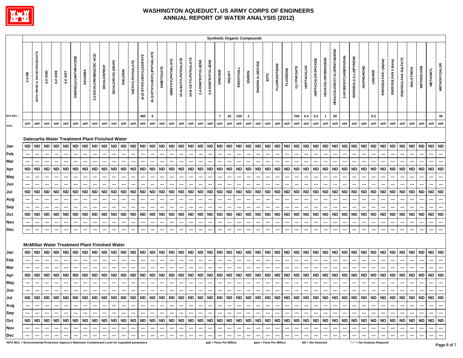

|                                                                                                 |                                                  |                                                                                     |                                                                       |                                                                                                   |                                            |                                              |                                                                                     |                                                                                                                                                                   |                                                                              |                                                                       |                                                                                     |                                                                       |                                                                |                                                                                     |                                                                                                   |                                              |                                                   |                                                         |                                                                       |                                                                              |                                           |                                                                              |                                                                       | <b>Synthetic Organic Compounds</b>                                    |                                                                                     |                                                                                                          |                                                  |                                                                       |                                                         |                                                                       |                                                                       |                                                  |                                                  |                                                                              |                                    |                                                                                                                                                                                                                                                                                                                                                                                                                                                                            |                                                                                    |                                                                |                                                                      |                                                                |                                                                       |                                                                |                                                                                                             |                                                                    |
|-------------------------------------------------------------------------------------------------|--------------------------------------------------|-------------------------------------------------------------------------------------|-----------------------------------------------------------------------|---------------------------------------------------------------------------------------------------|--------------------------------------------|----------------------------------------------|-------------------------------------------------------------------------------------|-------------------------------------------------------------------------------------------------------------------------------------------------------------------|------------------------------------------------------------------------------|-----------------------------------------------------------------------|-------------------------------------------------------------------------------------|-----------------------------------------------------------------------|----------------------------------------------------------------|-------------------------------------------------------------------------------------|---------------------------------------------------------------------------------------------------|----------------------------------------------|---------------------------------------------------|---------------------------------------------------------|-----------------------------------------------------------------------|------------------------------------------------------------------------------|-------------------------------------------|------------------------------------------------------------------------------|-----------------------------------------------------------------------|-----------------------------------------------------------------------|-------------------------------------------------------------------------------------|----------------------------------------------------------------------------------------------------------|--------------------------------------------------|-----------------------------------------------------------------------|---------------------------------------------------------|-----------------------------------------------------------------------|-----------------------------------------------------------------------|--------------------------------------------------|--------------------------------------------------|------------------------------------------------------------------------------|------------------------------------|----------------------------------------------------------------------------------------------------------------------------------------------------------------------------------------------------------------------------------------------------------------------------------------------------------------------------------------------------------------------------------------------------------------------------------------------------------------------------|------------------------------------------------------------------------------------|----------------------------------------------------------------|----------------------------------------------------------------------|----------------------------------------------------------------|-----------------------------------------------------------------------|----------------------------------------------------------------|-------------------------------------------------------------------------------------------------------------|--------------------------------------------------------------------|
|                                                                                                 | $2,4-DB$                                         | DCPA MONO & DIACID DEGRADATE                                                        | 4,4'-DDD                                                              | 4,4'-DDE                                                                                          | 4,4'-DDT                                   | DIBENZ(a,h)ANTHRACENE                        | <b>DICAMBA</b>                                                                      | 3,5-DICHLOROBENZOIC ACID                                                                                                                                          | <b>DICHLORPROP</b>                                                           | DICHLORVOS (DDVP)                                                     | <b>DIELDRIN</b>                                                                     | DIETHYLPHTHALATE                                                      | di-(2-ETHYLHEXYL)ADIPATE                                       | di-(2-ETHYLHEXYL)PHTHALATE                                                          | <b>DIMETHOATE</b>                                                                                 | <b>DIMETHYLPHTHALATE</b>                     | DI-N-BUTYLPHTHALATE                               | DI-N-OCTYLPHTHALATE                                     | 2,4-DINITROTOLUENE                                                    | 2,6-DINITROTOLUENE                                                           | <b>DINOSEB</b>                            | DIQUAT                                                                       | ENDOTHALL                                                             | ENDRIN                                                                | ENDRIN ALDEHYDE                                                                     | EPTC                                                                                                     | <b>FLUORANTHENE</b>                              | <b>FLUORENE</b>                                                       | <b>GLYPHOSATE</b>                                       | <b>HEPTACHLOR</b>                                                     | HEPTACHLOR EPOXIDE                                                    | <b>HEXACHLOROBENZENE</b>                         | <b>HEXACHLOROCYCLOPENTADIENE</b>                 | 3-HYDROXYCARBOFURAN                                                          | INDENO(1,2,3,c,d)PYRENE            | <b>ISOPHORONE</b>                                                                                                                                                                                                                                                                                                                                                                                                                                                          | LINDANE                                                                            | ENDOSULFAN I (alpha)                                           | ENDOSULFAN II (beta)                                                 | ENDOSULFAN SULFATE                                             | <b>MALATHION</b>                                                      | <b>METHIOCARB</b>                                              | <b>METHOMYL</b>                                                                                             | <b>METHOXYCHLOR</b>                                                |
| EPA MCL*                                                                                        |                                                  |                                                                                     |                                                                       |                                                                                                   |                                            |                                              |                                                                                     |                                                                                                                                                                   |                                                                              |                                                                       |                                                                                     |                                                                       | 400                                                            | 6                                                                                   |                                                                                                   |                                              |                                                   |                                                         |                                                                       |                                                                              | $\overline{7}$                            | 20                                                                           | 100                                                                   | $\overline{2}$                                                        |                                                                                     |                                                                                                          |                                                  |                                                                       | 700                                                     | $0.4\,$                                                               | $0.2\,$                                                               | $\overline{1}$                                   | 50                                               |                                                                              |                                    |                                                                                                                                                                                                                                                                                                                                                                                                                                                                            | 0.2                                                                                |                                                                |                                                                      |                                                                |                                                                       |                                                                |                                                                                                             | 40                                                                 |
| Units                                                                                           | ppb                                              | ppb                                                                                 | ppb                                                                   | ppb                                                                                               | ppb                                        | ppb                                          | ppb                                                                                 | ppb                                                                                                                                                               | ppb                                                                          | ppb                                                                   | ppb                                                                                 | ppb                                                                   | ppb                                                            | ppb                                                                                 | ppb                                                                                               | ${\sf ppb}$                                  | ppb                                               | ppb                                                     | ppb                                                                   | ppb                                                                          | ppb                                       | ppb                                                                          | ppb                                                                   | ppb                                                                   | ppb                                                                                 | ppb                                                                                                      | ${\sf ppb}$                                      | ppb                                                                   | ppb                                                     | ppb                                                                   | ppb                                                                   | ppb                                              | ppb                                              | ppb                                                                          | ppb                                | ppb                                                                                                                                                                                                                                                                                                                                                                                                                                                                        | ppb                                                                                | ppb                                                            | ppb                                                                  | ppb                                                            | ppb                                                                   | ppb                                                            | ppb                                                                                                         | ppb                                                                |
| Jan<br>Feb<br>Mar<br>Apr<br>May<br>Jun<br>Jul<br>Aug<br>Sep<br>Oct<br>Nov<br>Dec                | <b>ND</b><br><b>ND</b><br><b>ND</b><br><b>ND</b> | <b>ND</b><br>$\overline{\phantom{a}}$<br><b>ND</b><br>---<br><b>ND</b><br><b>ND</b> | <b>ND</b><br>---<br>---<br><b>ND</b><br><b>ND</b><br><b>ND</b><br>--- | <b>ND</b><br>---<br>---<br><b>ND</b><br>---<br><b>ND</b><br>---<br>---<br><b>ND</b><br>---<br>--- | ---<br><b>ND</b><br><b>ND</b><br><b>ND</b> | ND ND<br><b>ND</b><br><b>ND</b><br><b>ND</b> | <b>ND</b><br>---<br>---<br><b>ND</b><br>---<br><b>ND</b><br><b>ND</b><br>---<br>--- | Dalecarlia Water Treatment Plant Finished Water<br>$\sf ND$<br>---<br>---<br><b>ND</b><br>ND<br>---<br><b>ND</b><br>McMillan Water Treatment Plant Finished Water | <b>ND</b><br>---<br>---<br><b>ND</b><br><b>ND</b><br>---<br>---<br><b>ND</b> | <b>ND</b><br>---<br>---<br><b>ND</b><br><b>ND</b><br>---<br><b>ND</b> | <b>ND</b><br>---<br>---<br><b>ND</b><br><b>ND</b><br>---<br><b>ND</b><br>---<br>--- | <b>ND</b><br>---<br><b>ND</b><br><b>ND</b><br>---<br><b>ND</b><br>--- | <b>ND</b><br>---<br><b>ND</b><br><b>ND</b><br>---<br><b>ND</b> | $\sf ND$<br>---<br>---<br>${\sf ND}$<br><b>ND</b><br>---<br>---<br><b>ND</b><br>--- | <b>ND</b><br>---<br>---<br><b>ND</b><br>---<br><b>ND</b><br>---<br>---<br><b>ND</b><br>---<br>--- | ND ND<br><b>ND</b><br><b>ND</b><br><b>ND</b> | ---<br>---<br><b>ND</b><br><b>ND</b><br><b>ND</b> | <b>ND</b><br>---<br><b>ND</b><br><b>ND</b><br><b>ND</b> | <b>ND</b><br>---<br>---<br><b>ND</b><br><b>ND</b><br>---<br><b>ND</b> | <b>ND</b><br>---<br>---<br><b>ND</b><br><b>ND</b><br>---<br><b>ND</b><br>--- | <b>ND</b><br><b>ND</b><br>ND<br><b>ND</b> | <b>ND</b><br>---<br>---<br><b>ND</b><br><b>ND</b><br>---<br><b>ND</b><br>--- | <b>ND</b><br>---<br><b>ND</b><br><b>ND</b><br>---<br><b>ND</b><br>--- | <b>ND</b><br>---<br>---<br><b>ND</b><br>ND<br>---<br>---<br>ND<br>--- | <b>ND</b><br>$\hspace{0.05cm}$<br>---<br><b>ND</b><br><b>ND</b><br>---<br><b>ND</b> | <b>ND</b><br>---<br>---<br><b>ND</b><br>---<br>---<br><b>ND</b><br>---<br>---<br><b>ND</b><br>---<br>--- | ND<br>---<br><b>ND</b><br><b>ND</b><br><b>ND</b> | <b>ND</b><br>---<br>---<br><b>ND</b><br><b>ND</b><br>---<br><b>ND</b> | <b>ND</b><br>---<br><b>ND</b><br><b>ND</b><br><b>ND</b> | <b>ND</b><br>---<br>---<br><b>ND</b><br><b>ND</b><br>---<br><b>ND</b> | <b>ND</b><br>---<br>---<br><b>ND</b><br><b>ND</b><br>---<br><b>ND</b> | <b>ND</b><br><b>ND</b><br><b>ND</b><br><b>ND</b> | <b>ND</b><br><b>ND</b><br><b>ND</b><br><b>ND</b> | <b>ND</b><br>---<br><b>ND</b><br><b>ND</b><br>---<br>---<br><b>ND</b><br>--- | ND<br>---<br>---<br>ND<br>ND<br>ND | <b>ND</b><br><b>ND</b><br><b>ND</b><br><b>ND</b>                                                                                                                                                                                                                                                                                                                                                                                                                           | <b>ND</b><br>---<br>---<br><b>ND</b><br><b>ND</b><br>--<br>---<br><b>ND</b><br>--- | <b>ND</b><br>---<br>---<br><b>ND</b><br><b>ND</b><br><b>ND</b> | <b>ND</b><br>---<br>--<br><b>ND</b><br><b>ND</b><br>---<br><b>ND</b> | <b>ND</b><br>---<br><b>ND</b><br><b>ND</b><br>---<br><b>ND</b> | <b>ND</b><br>---<br>---<br><b>ND</b><br><b>ND</b><br>---<br><b>ND</b> | <b>ND</b><br>---<br><b>ND</b><br><b>ND</b><br>---<br><b>ND</b> | ND ND<br>$\hspace{0.05cm} \ldots$<br>---<br><b>ND</b><br>---<br><b>ND</b><br>---<br>---<br><b>ND</b><br>--- | $\sim$<br>$\overline{\phantom{a}}$<br><b>ND</b><br>ND<br><b>ND</b> |
| Jan                                                                                             | <b>ND</b>                                        | ND                                                                                  | <b>ND</b>                                                             | <b>ND</b>                                                                                         | ND                                         | ND                                           | <b>ND</b>                                                                           | <b>ND</b>                                                                                                                                                         | <b>ND</b>                                                                    | <b>ND</b>                                                             | <b>ND</b>                                                                           | <b>ND</b>                                                             | <b>ND</b>                                                      | <b>ND</b>                                                                           | <b>ND</b>                                                                                         | <b>ND</b>                                    | <b>ND</b>                                         | <b>ND</b>                                               | <b>ND</b>                                                             | <b>ND</b>                                                                    | <b>ND</b>                                 | <b>ND</b>                                                                    | <b>ND</b>                                                             | <b>ND</b>                                                             | <b>ND</b>                                                                           | <b>ND</b>                                                                                                | <b>ND</b>                                        | <b>ND</b>                                                             | <b>ND</b>                                               | $\sf ND$                                                              | <b>ND</b>                                                             | <b>ND</b>                                        | <b>ND</b>                                        | <b>ND</b>                                                                    | <b>ND</b>                          | <b>ND</b>                                                                                                                                                                                                                                                                                                                                                                                                                                                                  | <b>ND</b>                                                                          | <b>ND</b>                                                      | <b>ND</b>                                                            | <b>ND</b>                                                      | <b>ND</b>                                                             | <b>ND</b>                                                      | <b>ND</b>                                                                                                   | ND                                                                 |
| Feb                                                                                             | ---                                              |                                                                                     | ---                                                                   | $\hspace{0.05cm} \ldots$                                                                          |                                            | ---                                          | ---                                                                                 | ---                                                                                                                                                               | ---                                                                          | ---                                                                   | ---                                                                                 | ---                                                                   | ---                                                            | ---                                                                                 | ---                                                                                               |                                              | ---                                               |                                                         | ---                                                                   | ---                                                                          |                                           | ---                                                                          | ---                                                                   | ---                                                                   | $\sim$                                                                              | ---                                                                                                      | ---                                              | ---                                                                   |                                                         | ---                                                                   | ---                                                                   |                                                  | ---                                              | ---                                                                          |                                    |                                                                                                                                                                                                                                                                                                                                                                                                                                                                            | ---                                                                                | ---                                                            | ---                                                                  |                                                                | ---                                                                   | ---                                                            | $\hspace{0.05cm} \ldots$                                                                                    | ---                                                                |
| Mar                                                                                             |                                                  |                                                                                     |                                                                       |                                                                                                   |                                            |                                              |                                                                                     |                                                                                                                                                                   | ---                                                                          |                                                                       |                                                                                     |                                                                       |                                                                |                                                                                     | ---                                                                                               |                                              |                                                   |                                                         |                                                                       |                                                                              |                                           |                                                                              |                                                                       | ---                                                                   |                                                                                     | ---                                                                                                      |                                                  |                                                                       |                                                         |                                                                       |                                                                       |                                                  |                                                  |                                                                              |                                    |                                                                                                                                                                                                                                                                                                                                                                                                                                                                            |                                                                                    |                                                                |                                                                      |                                                                |                                                                       |                                                                |                                                                                                             |                                                                    |
| Apr                                                                                             | ND.                                              | ND                                                                                  | <b>ND</b>                                                             | <b>ND</b>                                                                                         | ND                                         | <b>ND</b>                                    | <b>ND</b>                                                                           | <b>ND</b>                                                                                                                                                         | <b>ND</b>                                                                    | <b>ND</b>                                                             | <b>ND</b>                                                                           | <b>ND</b>                                                             | ND                                                             | <b>ND</b>                                                                           | <b>ND</b>                                                                                         | <b>ND</b>                                    | ND                                                | ND                                                      | <b>ND</b>                                                             | <b>ND</b>                                                                    | ND                                        | <b>ND</b>                                                                    | ND                                                                    | ND                                                                    | <b>ND</b>                                                                           | <b>ND</b>                                                                                                | <b>ND</b>                                        | <b>ND</b>                                                             | <b>ND</b>                                               | <b>ND</b>                                                             | <b>ND</b>                                                             | ND                                               | <b>ND</b>                                        | <b>ND</b>                                                                    | ND                                 | <b>ND</b>                                                                                                                                                                                                                                                                                                                                                                                                                                                                  | <b>ND</b>                                                                          | <b>ND</b>                                                      | <b>ND</b>                                                            | ND                                                             | <b>ND</b>                                                             | <b>ND</b>                                                      | ND                                                                                                          | <b>ND</b>                                                          |
| May                                                                                             |                                                  | ---                                                                                 |                                                                       | ---                                                                                               |                                            |                                              | ---                                                                                 | ---                                                                                                                                                               | ---                                                                          | ---                                                                   | ---                                                                                 | ---                                                                   | ---                                                            | ---                                                                                 | ---                                                                                               | ---                                          |                                                   |                                                         | ---                                                                   | ---                                                                          | ---                                       | ---                                                                          | ---                                                                   | ---                                                                   | $\overline{\phantom{a}}$                                                            | ---                                                                                                      |                                                  |                                                                       |                                                         | ---                                                                   | ---                                                                   |                                                  |                                                  |                                                                              | ---                                |                                                                                                                                                                                                                                                                                                                                                                                                                                                                            | ---                                                                                |                                                                |                                                                      |                                                                |                                                                       |                                                                | ⊷                                                                                                           |                                                                    |
| Jun                                                                                             |                                                  | $\hspace{0.05cm} \cdots$                                                            |                                                                       | ---                                                                                               |                                            |                                              | ---                                                                                 | $\hspace{0.05cm}$                                                                                                                                                 | ---                                                                          | ---                                                                   | ---                                                                                 | ---                                                                   | $\overline{\phantom{a}}$                                       | ---                                                                                 | ---                                                                                               | ---                                          | $\qquad \qquad \cdots$                            | ---                                                     | ---                                                                   | ---                                                                          | ---                                       | ---                                                                          | ---                                                                   | ---                                                                   | $\hspace{0.05cm}$                                                                   | ---                                                                                                      | ---                                              | ---                                                                   | ---                                                     | ---                                                                   | ---                                                                   |                                                  |                                                  | ---                                                                          | ---                                |                                                                                                                                                                                                                                                                                                                                                                                                                                                                            | ---                                                                                |                                                                |                                                                      |                                                                |                                                                       | ---                                                            | $\overline{\phantom{a}}$                                                                                    |                                                                    |
| Jul<br>Aug                                                                                      |                                                  | $\sim$                                                                              | $\overline{\phantom{a}}$                                              | $\sim$                                                                                            | $\overline{\phantom{a}}$                   | $\sim$                                       | $\sim$                                                                              | $-1$                                                                                                                                                              | $\sim$                                                                       | $\sim$                                                                | $\rightarrow$                                                                       | $-1$                                                                  | $\sim$                                                         | $\sim$                                                                              | $\sim$                                                                                            | $-1$                                         | $\sim$                                            | $\overline{\phantom{a}}$                                | — I                                                                   | $\sim$                                                                       | $\overline{\phantom{a}}$                  | $\overline{\phantom{a}}$                                                     | $-1$                                                                  | $\sim$                                                                | $\overline{\phantom{a}}$                                                            | $\sim$                                                                                                   | --- 1                                            | $\sim$                                                                | $\sim$                                                  | $\sim$                                                                | $\sim$                                                                | $\overline{\phantom{a}}$                         | $\sim$                                           | $\sim$                                                                       | $\sim$                             | $\overline{\phantom{m}}$                                                                                                                                                                                                                                                                                                                                                                                                                                                   | $\sim$                                                                             | $\sim$                                                         | $\overline{\phantom{a}}$                                             | $\sim$                                                         | $  -$                                                                 | $\sim$                                                         | $\sim$                                                                                                      | $\overline{\phantom{a}}$                                           |
| Sep                                                                                             |                                                  | ---                                                                                 | $\sim$                                                                | $\sim$                                                                                            | $\sim$                                     | $\sim$                                       | $\sim$                                                                              | $-1$                                                                                                                                                              | $\sim$                                                                       | $\sim$                                                                | $\sim$                                                                              | $-1$                                                                  | --- 1                                                          | $\sim$                                                                              | $\sim$                                                                                            | $---$                                        | $\frac{1}{2}$                                     | $\sim$                                                  | $\sim$                                                                | $\sim$                                                                       | $\sim$                                    | $\sim$                                                                       | $---$                                                                 | $\sim$                                                                | $\sim$                                                                              | --- 1                                                                                                    | <b>Contract 1</b>                                | $\sim$                                                                | $\sim$                                                  | $\sim$                                                                | $\sim$                                                                | $\sim$                                           | $\sim$                                           | $\sim$                                                                       | $\sim$                             | $\frac{1}{2} \left( \frac{1}{2} \right) \left( \frac{1}{2} \right) \left( \frac{1}{2} \right) \left( \frac{1}{2} \right) \left( \frac{1}{2} \right) \left( \frac{1}{2} \right) \left( \frac{1}{2} \right) \left( \frac{1}{2} \right) \left( \frac{1}{2} \right) \left( \frac{1}{2} \right) \left( \frac{1}{2} \right) \left( \frac{1}{2} \right) \left( \frac{1}{2} \right) \left( \frac{1}{2} \right) \left( \frac{1}{2} \right) \left( \frac{1}{2} \right) \left( \frac$ | $\sim$                                                                             | $\sim$                                                         | $\sim$                                                               | $\overline{\phantom{a}}$                                       | $\sim$                                                                | $\sim$                                                         | $\sim$                                                                                                      | $\sim$                                                             |
| Oct                                                                                             |                                                  |                                                                                     |                                                                       |                                                                                                   |                                            |                                              |                                                                                     |                                                                                                                                                                   |                                                                              |                                                                       |                                                                                     |                                                                       |                                                                |                                                                                     |                                                                                                   |                                              |                                                   |                                                         |                                                                       |                                                                              |                                           |                                                                              |                                                                       |                                                                       |                                                                                     |                                                                                                          |                                                  |                                                                       |                                                         |                                                                       |                                                                       |                                                  |                                                  |                                                                              |                                    |                                                                                                                                                                                                                                                                                                                                                                                                                                                                            |                                                                                    |                                                                |                                                                      |                                                                |                                                                       |                                                                |                                                                                                             |                                                                    |
| Nov                                                                                             |                                                  | $\hspace{0.05cm} \cdots$                                                            |                                                                       |                                                                                                   |                                            |                                              |                                                                                     | ---                                                                                                                                                               |                                                                              | $\sim$                                                                | $\overline{\phantom{a}}$                                                            | $\sim$                                                                | $\overline{\phantom{a}}$                                       | $\hspace{0.05cm} \cdots$                                                            |                                                                                                   | $\hspace{0.05cm} \cdots$                     |                                                   | $\hspace{0.05cm} \cdots$                                | ---                                                                   |                                                                              | $\hspace{0.05cm} \cdots$                  | ---                                                                          |                                                                       | $\overline{\phantom{a}}$                                              | $\overline{\phantom{a}}$                                                            | $\overline{\phantom{a}}$                                                                                 | $\overline{\phantom{a}}$                         |                                                                       | $\hspace{0.05cm} \cdots$                                | ---                                                                   |                                                                       | $\hspace{0.05cm}$                                |                                                  | $\hspace{0.05cm} \cdots$                                                     | $\sim$                             |                                                                                                                                                                                                                                                                                                                                                                                                                                                                            | $\overline{\phantom{a}}$                                                           |                                                                |                                                                      | $\hspace{0.05cm} \cdots$                                       |                                                                       |                                                                | $\sim$                                                                                                      |                                                                    |
| Dec                                                                                             |                                                  |                                                                                     |                                                                       |                                                                                                   |                                            |                                              |                                                                                     |                                                                                                                                                                   |                                                                              |                                                                       |                                                                                     |                                                                       |                                                                |                                                                                     |                                                                                                   |                                              |                                                   |                                                         | ---                                                                   |                                                                              |                                           |                                                                              |                                                                       |                                                                       |                                                                                     |                                                                                                          |                                                  |                                                                       | $\sim$                                                  | $\sim$                                                                |                                                                       |                                                  |                                                  |                                                                              | $\sim$                             |                                                                                                                                                                                                                                                                                                                                                                                                                                                                            |                                                                                    |                                                                |                                                                      |                                                                |                                                                       |                                                                |                                                                                                             | $\sim$                                                             |
| *EPA MCL = Environmental Protection Agency's Maximum Contaminant Level for regulated parameters |                                                  |                                                                                     |                                                                       |                                                                                                   |                                            |                                              |                                                                                     |                                                                                                                                                                   |                                                                              |                                                                       |                                                                                     |                                                                       |                                                                |                                                                                     |                                                                                                   |                                              |                                                   |                                                         |                                                                       | ppb = Parts Per Billion                                                      |                                           |                                                                              |                                                                       |                                                                       |                                                                                     |                                                                                                          | ppm = Parts Per Million                          |                                                                       |                                                         |                                                                       | ND = Not Detected                                                     |                                                  |                                                  |                                                                              | "---" = No Analysis Required       |                                                                                                                                                                                                                                                                                                                                                                                                                                                                            |                                                                                    |                                                                |                                                                      |                                                                |                                                                       |                                                                |                                                                                                             |                                                                    |